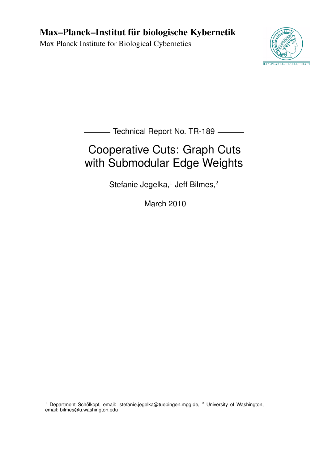## Max–Planck–Institut für biologische Kybernetik

Max Planck Institute for Biological Cybernetics



**Technical Report No. TR-189** — **Technical Report No. TR-189** 

# Cooperative Cuts: Graph Cuts with Submodular Edge Weights

Stefanie Jegelka, $1$  Jeff Bilmes, $2$ 

 $-$  March 2010  $-$ 

<sup>1</sup> Department Schölkopf, email: stefanie.jegelka@tuebingen.mpg.de, <sup>2</sup> University of Washington, email: bilmes@u.washington.edu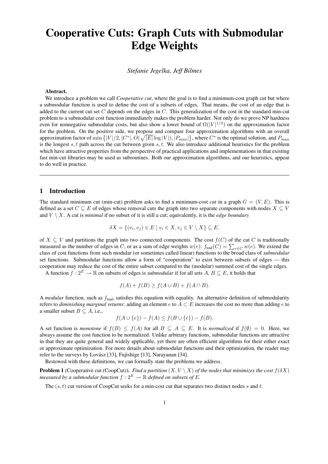## Cooperative Cuts: Graph Cuts with Submodular Edge Weights

*Stefanie Jegelka, Jeff Bilmes*

#### Abstract.

We introduce a problem we call *Cooperative cut*, where the goal is to find a minimum-cost graph cut but where a submodular function is used to define the cost of a subsets of edges. That means, the cost of an edge that is added to the current cut set  $C$  depends on the edges in  $C$ . This generalization of the cost in the standard min-cut problem to a submodular cost function immediately makes the problem harder. Not only do we prove NP hardness even for nonnegative submodular costs, but also show a lower bound of  $\Omega(|V|^{1/3})$  on the approximation factor for the problem. On the positive side, we propose and compare four approximation algorithms with an overall approximation factor of  $\min\big\{|V|/2, |C^*|, O(\sqrt{|E|}\log|V|), |P_{\max}|\big\}$ , where  $C^*$  is the optimal solution, and  $P_{\max}$ is the longest s, t path across the cut between given s, t. We also introduce additional heuristics for the problem which have attractive properties from the perspective of practical applications and implementations in that existing fast min-cut libraries may be used as subroutines. Both our approximation algorithms, and our heuristics, appear to do well in practice.

## 1 Introduction

The standard minimum cut (min-cut) problem asks to find a minimum-cost *cut* in a graph  $G = (V, E)$ . This is defined as a set  $C \subseteq E$  of edges whose removal cuts the graph into two separate components with nodes  $X \subseteq V$ and  $V \setminus X$ . A cut is *minimal* if no subset of it is still a cut; equivalently, it is the *edge boundary* 

$$
\delta X = \{(v_i, v_j) \in E \mid v_i \in X, v_j \in V \setminus X\} \subseteq E.
$$

of X  $\subseteq$  V and partitions the graph into two connected components. The cost  $f(C)$  of the cut C is traditionally measured as the number of edges in C, or as a sum of edge weights  $w(e)$ :  $f_{\text{trad}}(C) = \sum_{e \in C} w(e)$ . We extend the class of cost functions from such modular (or sometimes called linear) functions to the broad class of *submodular* set functions. Submodular functions allow a form of "cooperation" to exist between subsets of edges — this cooperation may reduce the cost of the entire subset compared to the (modular) summed cost of the single edges.

A function  $f: 2^E \to \mathbb{R}$  on subsets of edges is *submodular* if for all sets  $A, B \subseteq E$ , it holds that

$$
f(A) + f(B) \ge f(A \cup B) + f(A \cap B).
$$

A *modular* function, such as  $f_{\text{trad}}$ , satisfies this equation with equality. An alternative definition of submodularity refers to *diminishing marginal returns*: adding an element  $e$  to  $A \subset E$  increases the cost no more than adding  $e$  to a smaller subset  $B \subseteq A$ , i.e.,

$$
f(A \cup \{e\}) - f(A) \le f(B \cup \{e\}) - f(B).
$$

A set function is *monotone* if  $f(B) \le f(A)$  for all  $B \subseteq A \subseteq E$ . It is *normalized* if  $f(\emptyset) = 0$ . Here, we always assume the cost function to be normalized. Unlike arbitrary functions, submodular functions are attractive in that they are quite general and widely applicable, yet there are often efficient algorithms for their either exact or approximate optimization. For more details about submodular functions and their optimization, the reader may refer to the surveys by Lovász [33], Fujishige [13], Narayanan [34].

Bestowed with these definitions, we can formally state the problems we address.

**Problem 1** (Cooperative cut (CoopCut)). *Find a partition*  $(X, V \setminus X)$  *of the nodes that minimizes the cost*  $f(\delta X)$ *measured by a submodular function*  $f : 2^E \to \mathbb{R}$  *defined on subsets of* E.

The  $(s, t)$  cut version of CoopCut seeks for a min-cost cut that separates two distinct nodes s and t.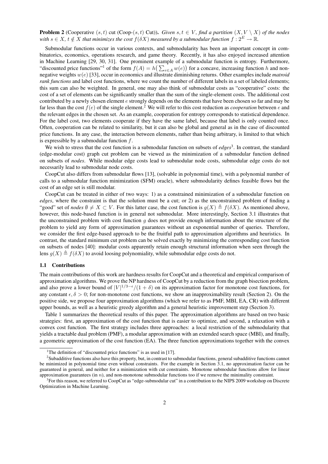**Problem 2** (Cooperative  $(s, t)$  cut (Coop- $(s, t)$  Cut)). *Given*  $s, t \in V$ *, find a partition*  $(X, V \setminus X)$  *of the nodes with*  $s \in X$ ,  $t \notin X$  *that minimizes the cost*  $f(\delta X)$  *measured by a submodular function*  $f : 2^E \to \mathbb{R}$ *.* 

Submodular functions occur in various contexts, and submodularity has been an important concept in combinatorics, economics, operations research, and game theory. Recently, it has also enjoyed increased attention in Machine Learning [29, 30, 31]. One prominent example of a submodular function is entropy. Furthermore, "discounted price functions"<sup>1</sup> of the form  $f(A) = h(\sum_{e \in A} w(e))$  for a concave, increasing function h and nonnegative weights w(e) [33], occur in economics and illustrate diminishing returns. Other examples include *matroid rank functions* and label cost functions, where we count the number of different labels in a set of labeled elements; this sum can also be weighted. In general, one may also think of submodular costs as "cooperative" costs: the cost of a set of elements can be significantly smaller than the sum of the single-element costs. The additional cost contributed by a newly chosen element  $e$  strongly depends on the elements that have been chosen so far and may be far less than the cost  $f(e)$  of the single element.<sup>2</sup> We will refer to this cost reduction as *cooperation* between e and the relevant edges in the chosen set. As an example, cooperation for entropy corresponds to statistical dependence. For the label cost, two elements cooperate if they have the same label, because that label is only counted once. Often, cooperation can be related to similarity, but it can also be global and general as in the case of discounted price functions. In any case, the interaction between elements, rather than being arbitrary, is limited to that which is expressible by a submodular function  $f$ .

We wish to stress that the cost function is a submodular function on subsets of *edges*<sup>3</sup>. In contrast, the standard (edge-modular cost) graph cut problem can be viewed as the minimization of a submodular function defined on subsets of *nodes*. While modular edge costs lead to submodular node costs, submodular edge costs do not necessarily lead to submodular node costs.

CoopCut also differs from submodular flows [13], (solvable in polynomial time), with a polynomial number of calls to a submodular function minimization (SFM) oracle), where submodularity defines feasible flows but the cost of an edge set is still modular.

CoopCut can be treated in either of two ways: 1) as a constrained minimization of a submodular function on *edges*, where the constraint is that the solution must be a cut; or 2) as the unconstrained problem of finding a "good" set of *nodes*  $\emptyset \neq X \subset V$ . For this latter case, the cost function is  $g(X) \triangleq f(\delta X)$ . As mentioned above, however, this node-based function is in general not submodular. More interestingly, Section 3.1 illustrates that the unconstrained problem with cost function  $g$  does not provide enough information about the structure of the problem to yield any form of approximation guarantees without an exponential number of queries. Therefore, we consider the first edge-based approach to be the fruitful path to approximation algorithms and heuristics. In contrast, the standard minimum cut problem can be solved exactly by minimizing the corresponding cost function on subsets of nodes [40]: modular costs apparently retain enough structural information when seen through the lens  $g(X) \triangleq f(\delta X)$  to avoid loosing polynomiality, while submodular edge costs do not.

#### 1.1 Contributions

The main contributions of this work are hardness results for CoopCut and a theoretical and empirical comparison of approximation algorithms. We prove the NP hardness of CoopCut by a reduction from the graph bisection problem, and also prove a lower bound of  $|V|^{1/3-\epsilon}/(1+\delta)$  on its approximation factor for monotone cost functions, for any constant  $\epsilon, \delta > 0$ ; for non-monotone cost functions, we show an inapproximability result (Section 2). On the positive side, we propose four approximation algorithms (which we refer to as PMF, MBI, EA, CR) with different upper bounds, as well as a heuristic greedy algorithm and a general heuristic improvement step (Section 3).

Table 1 summarizes the theoretical results of this paper. The approximation algorithms are based on two basic strategies: first, an approximation of the cost function that is easier to optimize, and second, a relaxation with a convex cost function. The first strategy includes three approaches: a local restriction of the submodularity that yields a tractable dual problem (PMF), a modular approximation with an extended search space (MBI), and finally, a geometric approximation of the cost function (EA). The three function approximations together with the convex

<sup>&</sup>lt;sup>1</sup>The definition of "discounted price functions" is as used in [17].

 $^2$ Subadditive functions also have this property, but, in contrast to submodular functions, general subadditive functions cannot be minimized in polynomial time even without constraints. For the example in Section 3.1, no approximation factor can be guaranteed in general, and neither for a minimization with cut constraints. Monotone submodular functions allow for linear approximation guarantees (in  $n$ ), and non-monotone submodular functions too if we remove the minimality constraint.

<sup>&</sup>lt;sup>3</sup> For this reason, we referred to CoopCut as "edge-submodular cut" in a contribution to the NIPS 2009 workshop on Discrete Optimization in Machine Learning.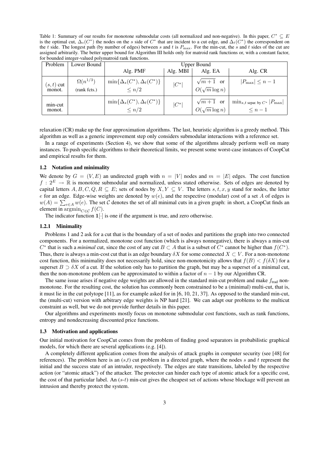Table 1: Summary of our results for monotone submodular costs (all normalized and non-negative). In this paper,  $C^* \subseteq E$ is the optimal cut,  $\Delta_s(C^*)$  the nodes on the s side of  $C^*$  that are incident to a cut edge, and  $\Delta_t(C^*)$  the correspondent on the t side. The longest path (by number of edges) between s and t is  $P_{\text{max}}$ . For the min-cut, the s and t sides of the cut are assigned arbitrarily. The better upper bound for Algorithm III holds only for matroid rank functions or, with a constant factor, for bounded integer-valued polymatroid rank functions.

| Problem                | Lower Bound                       | Upper Bound                                         |          |                                         |                                                                    |
|------------------------|-----------------------------------|-----------------------------------------------------|----------|-----------------------------------------|--------------------------------------------------------------------|
|                        |                                   | Alg. PMF                                            | Alg. MBI | Alg. EA                                 | Alg. CR                                                            |
| $(s, t)$ cut<br>monot. | $\Omega(n^{1/3})$<br>(rank fcts.) | $\min\{\Delta_s(C^*),\Delta_t(C^*)\}$<br>$\leq n/2$ | $ C^* $  | $\sqrt{m+1}$ or<br>$O(\sqrt{m} \log n)$ | $ P_{\text{max}}  \leq n-1$                                        |
| min-cut<br>monot.      |                                   | $\min\{\Delta_s(C^*),\Delta_t(C^*)\}$<br>$\leq n/2$ | $ C^* $  | $\sqrt{m+1}$ or<br>$O(\sqrt{m}\log n)$  | $\min_{s,t \text{ separ. by } C^*}  P_{\text{max}} $<br>$\leq n-1$ |

relaxation (CR) make up the four approximation algorithms. The last, heuristic algorithm is a greedy method. This algorithm as well as a generic improvement step only considers submodular interactions with a reference set.

In a range of experiments (Section 4), we show that some of the algorithms already perform well on many instances. To push specific algorithms to their theoretical limits, we present some worst-case instances of CoopCut and empirical results for them.

#### 1.2 Notation and minimality

We denote by  $G = (V, E)$  an undirected graph with  $n = |V|$  nodes and  $m = |E|$  edges. The cost function  $f: 2^E \to \mathbb{R}$  is monotone submodular and normalized, unless stated otherwise. Sets of edges are denoted by capital letters  $A, B, C, Q, R \subseteq E$ ; sets of nodes by  $X, Y \subseteq V$ . The letters  $s, t, x, y$  stand for nodes, the letter e for an edge. Edge-wise weights are denoted by  $w(e)$ , and the respective (modular) cost of a set A of edges is  $w(A) = \sum_{e \in A} w(e)$ . The set C denotes the set of all minimal cuts in a given graph: in short, a CoopCut finds an element in  $\operatorname{argmin}_{C \in \mathcal{C}} f(C)$ .

The indicator function  $1[\cdot]$  is one if the argument is true, and zero otherwise.

#### 1.2.1 Minimality

Problems 1 and 2 ask for a cut that is the boundary of a set of nodes and partitions the graph into two connected components. For a normalized, monotone cost function (which is always nonnegative), there is always a min-cut  $C^*$  that is such a *minimal* cut, since the cost of any cut  $B \subset A$  that is a subset of  $C^*$  cannot be higher than  $f(C^*)$ . Thus, there is always a min-cost cut that is an edge boundary  $\delta X$  for some connected  $X \subset V$ . For a non-monotone cost function, this minimality does not necessarily hold, since non-monotonicity allows that  $f(B) < f(\delta X)$  for a superset  $B \supset \delta X$  of a cut. If the solution only has to partition the graph, but may be a superset of a minimal cut, then the non-monotone problem can be approximated to within a factor of  $n - 1$  by our Algorithm CR.

The same issue arises if negative edge weights are allowed in the standard min-cut problem and make  $f_{\text{trad}}$  nonmonotone. For the resulting cost, the solution has commonly been constrained to be a (minimal) multi-cut, that is, it must lie in the cut polytope [11], as for example asked for in [6, 10, 21, 37]. As opposed to the standard min-cut, the (multi-cut) version with arbitrary edge weights is NP hard [21]. We can adapt our problems to the multicut constraint as well, but we do not provide further details in this paper.

Our algorithms and experiments mostly focus on monotone submodular cost functions, such as rank functions, entropy and nondecreasing discounted price functions.

#### 1.3 Motivation and applications

Our initial motivation for CoopCut comes from the problem of finding good separators in probabilistic graphical models, for which there are several applications (e.g. [4]).

A completely different application comes from the analysis of attack graphs in computer security (see [48] for references). The problem here is an  $(s,t)$  cut problem in a directed graph, where the nodes s and t represent the initial and the success state of an intruder, respectively. The edges are state transitions, labeled by the respective action (or "atomic attack") of the attacker. The protector can hinder each type of atomic attack for a specific cost, the cost of that particular label. An  $(s-t)$  min-cut gives the cheapest set of actions whose blockage will prevent an intrusion and thereby protect the system.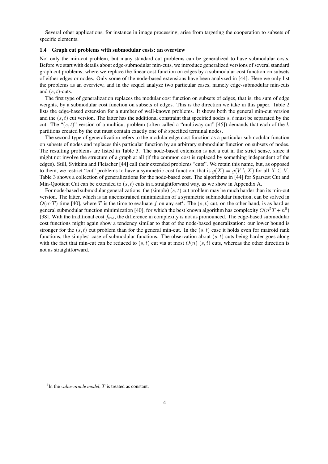Several other applications, for instance in image processing, arise from targeting the cooperation to subsets of specific elements.

#### 1.4 Graph cut problems with submodular costs: an overview

Not only the min-cut problem, but many standard cut problems can be generalized to have submodular costs. Before we start with details about edge-submodular min-cuts, we introduce generalized versions of several standard graph cut problems, where we replace the linear cost function on edges by a submodular cost function on subsets of either edges or nodes. Only some of the node-based extensions have been analyzed in [44]. Here we only list the problems as an overview, and in the sequel analyze two particular cases, namely edge-submodular min-cuts and  $(s, t)$ -cuts.

The first type of generalization replaces the modular cost function on subsets of edges, that is, the sum of edge weights, by a submodular cost function on subsets of edges. This is the direction we take in this paper. Table 2 lists the edge-based extension for a number of well-known problems. It shows both the general min-cut version and the  $(s, t)$  cut version. The latter has the additional constraint that specified nodes s, t must be separated by the cut. The " $(s, t)$ " version of a multicut problem (often called a "multiway cut" [45]) demands that each of the k partitions created by the cut must contain exactly one of k specified terminal nodes.

The second type of generalization refers to the modular edge cost function as a particular submodular function on subsets of nodes and replaces this particular function by an arbitrary submodular function on subsets of nodes. The resulting problems are listed in Table 3. The node-based extension is not a cut in the strict sense, since it might not involve the structure of a graph at all (if the common cost is replaced by something independent of the edges). Still, Svitkina and Fleischer [44] call their extended problems "cuts". We retain this name, but, as opposed to them, we restrict "cut" problems to have a symmetric cost function, that is  $g(X) = g(V \setminus X)$  for all  $X \subseteq V$ . Table 3 shows a collection of generalizations for the node-based cost. The algorithms in [44] for Sparsest Cut and Min-Quotient Cut can be extended to  $(s, t)$  cuts in a straightforward way, as we show in Appendix A.

For node-based submodular generalizations, the (simple)  $(s, t)$  cut problem may be much harder than its min-cut version. The latter, which is an unconstrained minimization of a symmetric submodular function, can be solved in  $O(n^3T)$  time [40], where T is the time to evaluate f on any set<sup>4</sup>. The  $(s, t)$  cut, on the other hand, is as hard as general submodular function minimization [40], for which the best known algorithm has complexity  $O(n^5T + n^6)$ [38]. With the traditional cost  $f_{\text{trad}}$ , the difference in complexity is not as pronounced. The edge-based submodular cost functions might again show a tendency similar to that of the node-based generalization: our lower bound is stronger for the  $(s, t)$  cut problem than for the general min-cut. In the  $(s, t)$  case it holds even for matroid rank functions, the simplest case of submodular functions. The observation about  $(s, t)$  cuts being harder goes along with the fact that min-cut can be reduced to  $(s, t)$  cut via at most  $O(n)$   $(s, t)$  cuts, whereas the other direction is not as straightforward.

<sup>&</sup>lt;sup>4</sup>In the *value-oracle model*, T is treated as constant.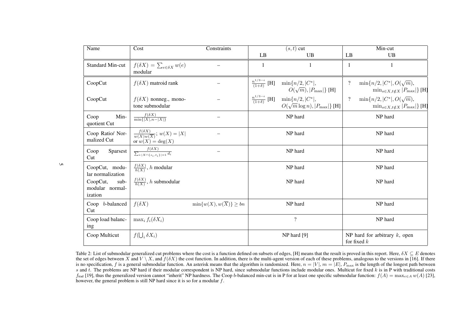| Name                                           | Cost                                                                            | Constraints                             | $(s,t)$ cut                               |                                                                                                      | Min-cut        |                                                                                   |
|------------------------------------------------|---------------------------------------------------------------------------------|-----------------------------------------|-------------------------------------------|------------------------------------------------------------------------------------------------------|----------------|-----------------------------------------------------------------------------------|
|                                                |                                                                                 |                                         | LB                                        | UB                                                                                                   | LB             | <b>UB</b>                                                                         |
| <b>Standard Min-cut</b>                        | $f(\delta X) = \sum_{e \in \delta X} w(e)$<br>modular                           |                                         | $\mathbf{1}$                              | 1                                                                                                    | $\overline{1}$ | 1                                                                                 |
| CoopCut                                        | $f(\delta X)$ matroid rank                                                      |                                         | $\frac{n^{1/3-\epsilon}}{(1+\delta)}$ [H] | $\min\{n/2,  C^* ,$<br>$O(\sqrt{m}),  P_{\text{max}} \}$ [H]                                         | $\overline{?}$ | $\min\{n/2,  C^* , O(\sqrt{m}),\}$<br>$\min_{s \in X, t \notin X}  P_{\max} $ [H] |
| CoopCut                                        | $f(\delta X)$ nonneg., mono-<br>tone submodular                                 |                                         |                                           | $\frac{n^{1/3-\epsilon}}{(1+\delta)}$ [H] $\min\{n/2,  C^* ,$<br>$O(\sqrt{m}\log n),  P_{\max} $ [H] | $\overline{?}$ | $\min\{n/2,  C^* , O(\sqrt{m}),\}$<br>$\min_{s \in X, t \notin X}  P_{\max} $ [H] |
| Min-<br>Coop<br>quotient Cut                   | $\frac{f(\delta X)}{\min\{ X , n- X \}}$                                        |                                         |                                           | NP hard                                                                                              |                | NP hard                                                                           |
| Coop Ratio/ Nor-<br>malized Cut                | $\frac{f(\delta X)}{w(X)w(\overline{X})}$ ; $w(X) =  X $<br>or $w(X) = \deg(X)$ |                                         |                                           | NP hard                                                                                              |                | NP hard                                                                           |
| Sparsest<br>Coop<br>Cut                        | $\frac{f(\delta X)}{\sum_{i: X\cap\{s_i,t_i\} =1}d_i}$                          |                                         |                                           | NP hard                                                                                              |                | NP hard                                                                           |
| CoopCut, modu-<br>lar normalization            | $\frac{f(\delta X)}{h(X)}$ , h modular                                          |                                         |                                           | NP hard                                                                                              |                | NP hard                                                                           |
| CoopCut,<br>sub-<br>modular normal-<br>ization | $\frac{f(\delta X)}{h(X)}$ , h submodular                                       |                                         |                                           | NP hard                                                                                              |                | NP hard                                                                           |
| Coop b-balanced<br>Cut                         | $f(\delta X)$                                                                   | $\min\{w(X), w(\overline{X})\} \geq bn$ |                                           | NP hard                                                                                              |                | NP hard                                                                           |
| Coop load balanc-<br>ing                       | $\max_i f_i(\delta X_i)$                                                        |                                         |                                           | $\overline{?}$                                                                                       |                | NP hard                                                                           |
| Coop Multicut                                  | $f(\bigcup_i \delta X_i)$                                                       |                                         |                                           | NP hard [9]                                                                                          |                | NP hard for arbitrary $k$ , open<br>for fixed $k$                                 |

Table 2: List of submodular generalized cut problems where the cost is a function defined on subsets of edges, [H] means that the result is proved in this report. Here,  $\delta X \subseteq E$  denotes the result is a function of each of the set of edges between X and  $V \setminus X$ , and  $f(\delta X)$  the cost function. In addition, there is the multi-agent version of each of these problems, analogous to the versions in [16]. If there is no consideration f is a consen is no specification, f is a general submodular function. An asterisk means that the algorithm is randomized. Here,  $n = |V|$ ,  $m = |E|$ ,  $P_{\text{max}}$  is the length of the longest path between and t. The problems are NP hard if t s and t. The problems are NP hard if their modular correspondent is NP hard, since submodular functions include modular ones. Multicut for fixed  $k$  is in P with traditional costs  $f_{\text{trad}}$  [19], thus the generalized version cannot "inherit" NP hardness. The Coop b-balanced min-cut is in P for at least one specific submodular function:  $f(A) = \max_{e \in A} w(A)$  [23], however, the general problem is still NP hard since it is so for a modular  $f$ .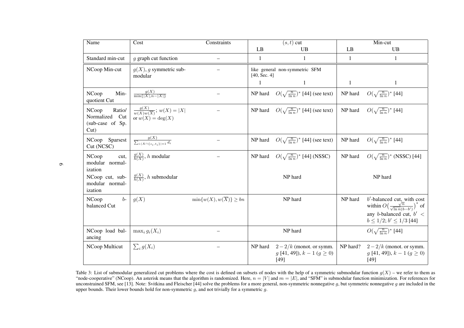| Name                                                             | Cost                                                                     | Constraints                             |                                                | $(s, t)$ cut                                                             | Min-cut  |                                                                                                                                                                     |  |
|------------------------------------------------------------------|--------------------------------------------------------------------------|-----------------------------------------|------------------------------------------------|--------------------------------------------------------------------------|----------|---------------------------------------------------------------------------------------------------------------------------------------------------------------------|--|
|                                                                  |                                                                          |                                         | LB                                             | <b>UB</b>                                                                | LB       | UB                                                                                                                                                                  |  |
| Standard min-cut                                                 | g graph cut function                                                     | —                                       | $\mathbf{1}$                                   | 1                                                                        | 1        | 1                                                                                                                                                                   |  |
| NCoop Min-cut                                                    | $g(X)$ , g symmetric sub-<br>modular                                     |                                         | like general non-symmetric SFM<br>[40, Sec. 4] |                                                                          |          |                                                                                                                                                                     |  |
|                                                                  |                                                                          |                                         | 1                                              | 1                                                                        | 1        | 1                                                                                                                                                                   |  |
| NCoop<br>Min-<br>quotient Cut                                    | $\frac{g(X)}{\min\{ X ,n- X \}}$                                         |                                         |                                                | NP hard $O(\sqrt{\frac{n}{\ln n}})^*$ [44] (see text)                    | NP hard  | $O(\sqrt{\frac{n}{\ln n}})^*$ [44]                                                                                                                                  |  |
| Ratio/<br>NCoop<br>Normalized Cut<br>(sub-case of Sp.<br>$Cut$ ) | $\frac{g(X)}{w(X)w(\overline{X})}$ ; $w(X) =  X $<br>or $w(X) = \deg(X)$ |                                         | NP hard                                        | $O(\sqrt{\frac{n}{\ln n}})^*$ [44] (see text)                            | NP hard  | $O(\sqrt{\frac{n}{\ln n}})^*$ [44]                                                                                                                                  |  |
| NCoop Sparsest<br>Cut (NCSC)                                     | $\frac{g(X)}{\sum_{i: X\cap\{s_i,t_i\} =1}d_i}$                          |                                         | NP hard                                        | $O(\sqrt{\frac{n}{\ln n}})^*$ [44] (see text)                            | NP hard  | $O(\sqrt{\frac{n}{\ln n}})^*$ [44]                                                                                                                                  |  |
| NCoop<br>cut,<br>modular normal-<br>ization                      | $\frac{g(X)}{h(X)}$ , h modular                                          |                                         |                                                | NP hard $O(\sqrt{\frac{n}{\ln n}})^*$ [44] (NSSC)                        | NP hard  | $O(\sqrt{\frac{n}{\ln n}})^*$ (NSSC) [44]                                                                                                                           |  |
| NCoop cut, sub-<br>modular normal-<br>ization                    | $\frac{g(X)}{h(X)}$ , h submodular                                       |                                         |                                                | NP hard                                                                  |          | NP hard                                                                                                                                                             |  |
| NCoop<br>$b-$<br>balanced Cut                                    | g(X)                                                                     | $\min\{w(X), w(\overline{X})\} \geq bn$ |                                                | NP hard                                                                  | NP hard  | $b'$ -balanced cut, with cost<br>within $O\left(\frac{\sqrt{n}}{\sqrt{\ln n}(b-b')}\right)^*$ of<br>any b-balanced cut, $b' <$<br>$b \leq 1/2$ ; $b' \leq 1/3$ [44] |  |
| NCoop load bal-<br>ancing                                        | $\max_i g_i(X_i)$                                                        |                                         |                                                | NP hard                                                                  |          | $O(\sqrt{\frac{n}{\ln n}})^*$ [44]                                                                                                                                  |  |
| NCoop Multicut                                                   | $\sum_i g(X_i)$                                                          |                                         | NP hard                                        | $2-2/k$ (monot. or symm.<br>$g$ [41, 49]), $k-1$ ( $g \ge 0$ )<br>$[49]$ | NP hard? | $2-2/k$ (monot. or symm.<br>$g$ [41, 49]), $k-1$ ( $g \ge 0$ )<br>$[49]$                                                                                            |  |

Table 3: List of submodular generalized cut problems where the cost is defined on subsets of nodes with the help of a symmetric submodular function  $g(X)$  – we refer to them as<br>"node-cooperative" (NCoop). An asterisk means unconstrained SFM, see [13]. Note: Svitkina and Fleischer [44] solve the problems for a more general, non-symmetric nonnegative  $g$ , but symmetric nonnegative  $g$  are included in the<br>upper bounds. Their lower bounds hold

 $\sigma$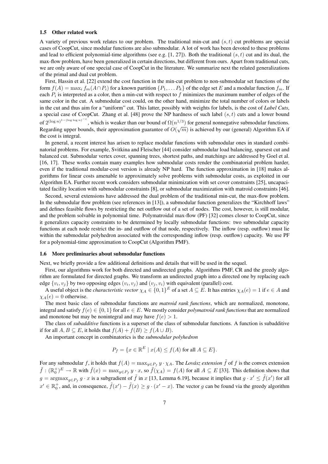#### 1.5 Other related work

A variety of previous work relates to our problem. The traditional min-cut and  $(s, t)$  cut problems are special cases of CoopCut, since modular functions are also submodular. A lot of work has been devoted to these problems and lead to efficient polynomial-time algorithms (see e.g.  $[1, 27]$ ). Both the traditional  $(s, t)$  cut and its dual, the max-flow problem, have been generalized in certain directions, but different from ours. Apart from traditional cuts, we are only aware of one special case of CoopCut in the literature. We summarize next the related generalizations of the primal and dual cut problem.

First, Hassin et al. [22] extend the cost function in the min-cut problem to non-submodular set functions of the form  $f(A) = \max_i f_m(A \cap P_i)$  for a known partition  $\{P_1, \ldots P_k\}$  of the edge set E and a modular function  $f_m$ . If each  $P_i$  is interpreted as a color, then a min-cut with respect to  $f$  minimizes the maximum number of edges of the same color in the cut. A submodular cost could, on the other hand, minimize the total number of colors or labels in the cut and thus aim for a "uniform" cut. This latter, possibly with weights for labels, is the cost of *Label Cuts*, a special case of CoopCut. Zhang et al. [48] prove the NP hardness of such label  $(s, t)$  cuts and a lower bound of  $2^{(\log n)^{1-(\log \log n)^{-c}}}$ , which is weaker than our bound of  $\Omega(n^{1/3})$  for general nonnegative submodular functions. Regarding upper bounds, their approximation guarantee of  $O(\sqrt{m})$  is achieved by our (general) Algorithm EA if the cost is integral.

In general, a recent interest has arisen to replace modular functions with submodular ones in standard combinatorial problems. For example, Svitkina and Fleischer [44] consider submodular load balancing, sparsest cut and balanced cut. Submodular vertex cover, spanning trees, shortest paths, and matchings are addressed by Goel et al. [16, 17]. These works contain many examples how submodular costs render the combinatorial problem harder, even if the traditional modular-cost version is already NP hard. The function approximation in [18] makes algorithms for linear costs amenable to approximately solve problems with submodular costs, as exploited in our Algorithm EA. Further recent work considers submodular minimization with set cover constraints [25], uncapacitated facility location with submodular constraints [8], or submodular maximization with matroid constraints [46].

Second, several extensions have addressed the dual problem of the traditional min-cut, the max-flow problem. In the submodular flow problem (see references in [13]), a submodular function generalizes the "Kirchhoff laws" and defines feasible flows by restricting the net outflow out of a set of nodes. The cost, however, is still modular, and the problem solvable in polynomial time. Polymatroidal max-flow (PF) [32] comes closer to CoopCut, since it generalizes capacity constraints to be determined by locally submodular functions: two submodular capacity functions at each node restrict the in- and outflow of that node, respectively. The inflow (resp. outflow) must lie within the submodular polyhedron associated with the corresponding inflow (resp. outflow) capacity. We use PF for a polynomial-time approximation to CoopCut (Algorithm PMF).

#### 1.6 More preliminaries about submodular functions

Next, we briefly provide a few additional definitions and details that will be used in the sequel.

First, our algorithms work for both directed and undirected graphs. Algorithms PMF, CR and the greedy algorithm are formulated for directed graphs. We transform an undirected graph into a directed one by replacing each edge  $\{v_i, v_j\}$  by two opposing edges  $(v_i, v_j)$  and  $(v_j, v_i)$  with equivalent (parallel) cost.

A useful object is the *characteristic vector*  $\chi_A \in \{0,1\}^E$  of a set  $A \subseteq E$ . It has entries  $\chi_A(e) = 1$  if  $e \in A$  and  $\chi_A(e) = 0$  otherwise.

The most basic class of submodular functions are *matroid rank functions*, which are normalized, monotone, integral and satisfy  $f(e) \in \{0, 1\}$  for all  $e \in E$ . We mostly consider *polymatroid rank functions* that are normalized and monotone but may be nonintegral and may have  $f(e) > 1$ .

The class of *subadditive* functions is a superset of the class of submodular functions. A function is subadditive if for all  $A, B \subseteq E$ , it holds that  $f(A) + f(B) \ge f(A \cup B)$ .

An important concept in combinatorics is the *submodular polyhedron*

$$
P_f = \{ x \in \mathbb{R}^E \mid x(A) \le f(A) \text{ for all } A \subseteq E \}.
$$

For any submodular f, it holds that  $f(A) = \max_{y \in P_f} y \cdot \chi_A$ . The *Lovász extension*  $\tilde{f}$  of f is the convex extension  $\tilde{f}: (\mathbb{R}_0^+)^E \to \mathbb{R}$  with  $\tilde{f}(x) = \max_{y \in P_f} y \cdot x$ , so  $\tilde{f}(\chi_A) = f(A)$  for all  $A \subseteq E$  [33]. This definition shows that  $g = \argmax_{g \in P_f} g \cdot x$  is a subgradient of  $\tilde{f}$  in x [13, Lemma 6.19], because it implies that  $g \cdot x' \leq \tilde{f}(x')$  for all  $x' \in \mathbb{R}_0^+$ , and, in consequence,  $\tilde{f}(x') - \tilde{f}(x) \geq g \cdot (x' - x)$ . The vector g can be found via the greedy algorithm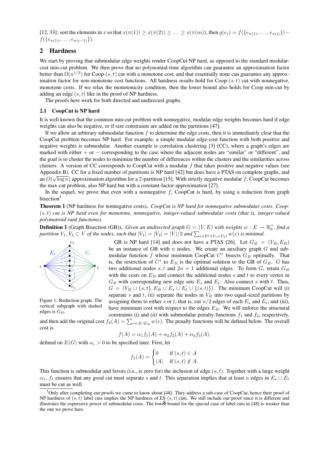[12, 33]: sort the elements in x so that  $x(\pi(1)) \ge x(\pi(2)) \ge \ldots \ge x(\pi(m))$ , then  $g(e_i) = f(\{e_{\pi(1)}, \ldots, e_{\pi(i)}\})$  –  $f({e_{\pi(1)}, \ldots, e_{\pi(i-1)}}).$ 

## 2 Hardness

We start by proving that submodular edge weights render CoopCut NP hard, as opposed to the standard modularcost min-cut problem. We then prove that no polynomial-time algorithm can guarantee an approximation factor better than  $\Omega(n^{1/3})$  for Coop-(s, t) cut with a monotone cost, and that essentially none can guarantee any approximation factor for non-monotone cost functions. All hardness results hold for  $Coop-(s, t)$  cut with nonnegative, monotone costs. If we relax the monotonicity condition, then the lower bound also holds for Coop min-cut by adding an edge  $(s, t)$  like in the proof of NP hardness.

The proofs here work for both directed and undirected graphs.

#### 2.1 CoopCut is NP hard

It is well known that the common min-cut problem with nonnegative, modular edge weights becomes hard if edge weights can also be negative, or if size constraints are added on the partitions [47].

If we allow an arbitrary submodular function f to determine the edge costs, then it is immediately clear that the CoopCut problem becomes NP hard. For example, a simple modular edge-cost function with both positive and negative weights is submodular. Another example is correlation clustering [3] (CC), where a graph's edges are marked with either + or − corresponding to the case where the adjacent nodes are "similar" or "different", and the goal is to cluster the nodes to minimize the number of differences within the clusters and the similarities across clusters. A version of CC corresponds to CoopCut with a modular  $f$  that takes positive and negative values (see Appendix B). CC for a fixed number of partitions is NP hard [42] but does have a PTAS on complete graphs, and  $\frac{1}{2}$ an  $O(\sqrt{\log n})$  approximation algorithm for a 2-partition [15]. With strictly negative modular f, CoopCut becomes the max-cut problem, also NP hard but with a constant-factor approximation [27].

In the sequel, we prove that even with a nonnegative  $f$ , CoopCut is hard, by using a reduction from graph bisection<sup>5</sup>.

Theorem 1 (NP hardness for nonnegative costs). *CoopCut is NP hard for nonnegative submodular costs. Coop-* (s, t) *cut is NP hard even for monotone, nonnegative, integer-valued submodular costs (that is, integer-valued polymatroid rank functions).*

**Definition 1** (Graph Bisection (GB)). *Given an undirected graph*  $G = (V, E)$  *with weights*  $w : E \to \mathbb{R}_0^+$ *, find a partition*  $V_1, V_2 \subset V$  *of the nodes, such that*  $|V_1| = |V_2| = |V|/2$  *and*  $\sum_{e \in E \cap (V_1 \times V_2)} w(e)$  *is minimal.* 



Figure 1: Reduction graph. The vertical subgraph with dashed edges is  $G_B$ .

GB is NP hard [14] and does not have a PTAS [26]. Let  $G_B = (V_B, E_B)$ be an instance of GB with  $n$  nodes. We create an auxiliary graph  $G$  and submodular function  $f$  whose minimum CoopCut  $C^*$  bisects  $G_B$  optimally. That is, the restriction of  $C^*$  to  $E_B$  is the optimal solution to the GB of  $G_B$ . G has two additional nodes s, t and  $2n + 1$  additional edges. To form G, retain  $G_B$ with the costs on  $E_B$  and connect the additional nodes s and t to every vertex in  $G_B$  with corresponding new edge sets  $E_s$  and  $E_t$ . Also connect s with t. Thus,  $G = (V_B \cup \{s, t\}, E_B \cup E_s \cup E_t \cup \{(s, t)\})$ . The minimum CoopCut will (i) separate s and t, (ii) separate the nodes in  $V_B$  into two equal-sized partitions by assigning them to either s or t, that is, cut  $n/2$  edges of each  $E_s$  and  $E_t$ , and (iii), have minimum cost with respect to the edges  $E_B$ . We will enforce the structural constraints (i) and (ii) with submodular penalty functions  $f_1$  and  $f_2$ , respectively,

and then add the original cost  $f_3(A) = \sum_{e \in A \cap E_B} w(e)$ . The penalty functions will be defined below. The overall cost is

$$
f(A) = \alpha_1 f_1(A) + \alpha_2 f_2(A) + \alpha_3 f_3(A),
$$

defined on  $E(G)$  with  $\alpha_i > 0$  to be specified later. First, let

$$
f_1(A) = \begin{cases} 0 & \text{if } (s, t) \in A \\ |A| & \text{if } (s, t) \notin A. \end{cases}
$$

This function is submodular and favors (i.e., is zero for) the inclusion of edge  $(s, t)$ . Together with a large weight  $\alpha_1$ ,  $f_1$  ensures that any good cut must separate s and t. This separation implies that at least n edges in  $E_s \cup E_t$ must be cut as well.

 $5$ Only after completing our proofs we came to know about [48]. They address a sub-case of CoopCut, hence their proof of NP hardness of  $(s, t)$  label cuts implies the NP hardness of ES  $(s, t)$  cuts. We still include our proof since it is different and illustrates the expressive power of submodular costs. The lower bound for the special case of label cuts in [48] is weaker than the one we prove here.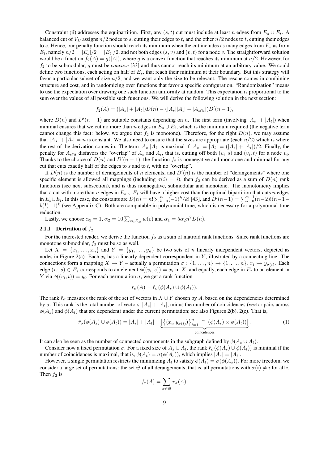Constraint (ii) addresses the equipartition. First, any  $(s, t)$  cut must include at least n edges from  $E_s \cup E_t$ . A balanced cut of  $V_B$  assigns  $n/2$  nodes to s, cutting their edges to t, and the other  $n/2$  nodes to t, cutting their edges to s. Hence, our penalty function should reach its minimum when the cut includes as many edges from  $E_s$  as from  $E_t$ , namely  $n/2 = |E_s|/2 = |E_t|/2$ , and not both edges  $(s, v)$  and  $(v, t)$  for a node v. The straightforward solution would be a function  $f_2(A) = g(|A|)$ , where g is a convex function that reaches its minimum at  $n/2$ . However, for f<sup>2</sup> to be submodular, g must be *concave* [33] and thus cannot reach its minimum at an arbitrary value. We could define two functions, each acting on half of  $E_s$ , that reach their minimum at their boundary. But this strategy will favor a particular subset of size  $n/2$ , and we want only the size to be relevant. The rescue comes in combining structure and cost, and in randomizing over functions that favor a specific configuration. "Randomization" means to use the expectation over drawing one such function uniformly at random. This expectation is proportional to the sum over the values of all possible such functions. We will derive the following solution in the next section:

$$
f_2(A) = (|A_s| + |A_t|)D(n) - (|A_s||A_t| - |A_{s \cap t}|)D'(n-1),
$$

where  $D(n)$  and  $D'(n-1)$  are suitable constants depending on n. The first term (involving  $|A_s| + |A_t|$ ) when minimal ensures that we cut no more than n edges in  $E_s \cup E_t$ , which is the minimum required (the negative term cannot change this fact: below, we argue that  $f_2$  is monotone). Therefore, for the right  $D(n)$ , we may assume that  $|A_s| + |A_t| = n$  is constant. We also need to ensure that the sizes are appropriate (each  $n/2$ ) which is where the rest of the derivation comes in. The term  $|A_s||A_t|$  is maximal if  $|A_s| = |A_t| = (|A_s| + |A_t|)/2$ . Finally, the penalty for  $A_{s\cap t}$  disfavors the "overlap" of  $A_s$  and  $A_t$ , that is, cutting off both  $(v_i, s)$  and  $(v_i, t)$  for a node  $v_i$ . Thanks to the choice of  $D(n)$  and  $D'(n-1)$ , the function  $f_2$  is nonnegative and monotone and minimal for any cut that cuts exactly half of the edges to  $s$  and to  $t$ , with no "overlap".

If  $D(n)$  is the number of derangements of n elements, and  $D'(n)$  is the number of "derangements" where one specific element is allowed all mappings (including  $\sigma(i) = i$ ), then  $f_2$  can be derived as a sum of  $D(n)$  rank functions (see next subsection), and is thus nonnegative, submodular and monotone. The monotonicity implies that a cut with more than n edges in  $E_s \cup E_t$  will have a higher cost than the optimal bipartition that cuts n edges in  $E_s \cup E_t$ . In this case, the constants are  $D(n) = n! \sum_{k=0}^{n} (-1)^k / k!$  [43], and  $D'(n-1) = \sum_{k=0}^{n-1} (n-2)! (n-1-1)$  $(k)!(-1)^k$  (see Appendix C). Both are computable in polynomial time, which is necessary for a polynomial-time reduction.

Lastly, we choose  $\alpha_3 = 1$ ,  $\alpha_2 = 10 \sum_{e \in E_B} w(e)$  and  $\alpha_1 = 5 \alpha_2 n^2 D(n)$ .

#### **2.1.1 Derivation of**  $f_2$

For the interested reader, we derive the function  $f_2$  as a sum of matroid rank functions. Since rank functions are monotone submodular,  $f_2$  must be so as well.

Let  $X = \{x_1, \ldots, x_n\}$  and  $Y = \{y_1, \ldots, y_n\}$  be two sets of n linearly independent vectors, depicted as nodes in Figure 2(a). Each  $x_i$  has a linearly dependent correspondent in Y, illustrated by a connecting line. The connections form a mapping  $X \to Y$  – actually a permutation  $\sigma : \{1, \ldots, n\} \to \{1, \ldots, n\}$ ,  $x_i \mapsto y_{\sigma(i)}$ . Each edge  $(v_i, s) \in E_s$  corresponds to an element  $\phi((v_i, s)) = x_i$  in X, and equally, each edge in  $E_t$  to an element in Y via  $\phi((v_i, t)) = y_i$ . For each permutation  $\sigma$ , we get a rank function

$$
r_{\sigma}(A) = \hat{r}_{\sigma}(\phi(A_s) \cup \phi(A_t)).
$$

The rank  $\hat{r}_{\sigma}$  measures the rank of the set of vectors in  $X \cup Y$  chosen by A, based on the dependencies determined by  $\sigma$ . This rank is the total number of vectors,  $|A_s| + |A_t|$ , minus the number of coincidences (vector pairs across  $\phi(A_s)$  and  $\phi(A_t)$  that are dependent) under the current permutation; see also Figures 2(b), 2(c). That is,

$$
\hat{r}_{\sigma}(\phi(A_s) \cup \phi(A_t)) = |A_s| + |A_t| - \underbrace{\left\{ (x_i, y_{\sigma(i)}) \right\}_{i=1}^n \cap (\phi(A_s) \times \phi(A_t))}_{\text{coincidences}}.
$$
\n(1)

It can also be seen as the number of connected components in the subgraph defined by  $\phi(A_s \cup A_t)$ .

Consider now a fixed permutation  $\sigma$ . For a fixed size of  $A_s \cup A_t$ , the rank  $\hat{r}_{\sigma}(\phi(A_s) \cup \phi(A_t))$  is minimal if the number of coincidences is maximal, that is,  $\phi(A_t) = \sigma(\phi(A_s))$ , which implies  $|A_s| = |A_t|$ .

However, a single permutation restricts the minimizing  $A_t$  to satisfy  $\phi(A_t) = \sigma(\phi(A_s))$ . For more freedom, we consider a large set of permutations: the set G of all derangements, that is, all permutations with  $\sigma(i) \neq i$  for all i. Then  $f_2$  is

$$
f_2(A) = \sum_{\sigma \in \mathfrak{S}} r_{\sigma}(A).
$$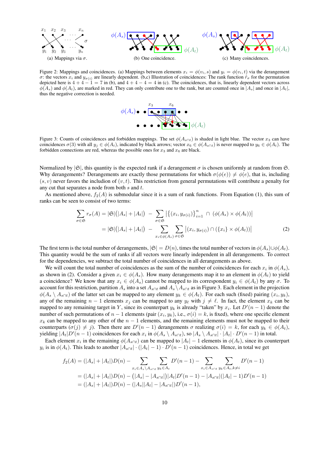

Figure 2: Mappings and coincidences. (a) Mappings between elements  $x_i = \phi(v_i, s)$  and  $y_i = \phi(v_i, t)$  via the derangement σ: the vectors  $x_i$  and  $y_{\sigma(i)}$  are linearly dependent. (b,c) Illustration of coincidences: The rank function  $\hat{r}_{\sigma}$  for the permutation depicted here is  $4 + 4 - 1 = 7$  in (b), and  $4 + 4 - 4 = 4$  in (c). The coincidences, that is, linearly dependent vectors across  $\phi(A_s)$  and  $\phi(A_t)$ , are marked in red. They can only contribute one to the rank, but are counted once in  $|A_s|$  and once in  $|A_t|$ , thus the negative correction is needed.



Figure 3: Counts of coincidences and forbidden mappings. The set  $\phi(A_{s\cap t})$  is shaded in light blue. The vector  $x_3$  can have coincidences  $\sigma(3)$  with all  $y_j \in \phi(A_t)$ , indicated by black arrows; vector  $x_6 \in \phi(A_{s \cap t})$  is never mapped to  $y_6 \in \phi(A_t)$ . The forbidden connections are red, whereas the possible ones for  $x_3$  and  $x_6$  are black.

Normalized by  $|\mathfrak{S}|$ , this quantity is the expected rank if a derangement  $\sigma$  is chosen uniformly at random from  $\mathfrak{S}$ . Why derangements? Derangements are exactly those permutations for which  $\sigma(\phi(e)) \neq \phi(e)$ , that is, including  $(s, v)$  never favors the includion of  $(v, t)$ . This restriction from general permutations will contribute a penalty for any cut that separates a node from both  $s$  and  $t$ .

As mentioned above,  $f_2(A)$  is submodular since it is a sum of rank functions. From Equation (1), this sum of ranks can be seen to consist of two terms:

$$
\sum_{\sigma \in \mathfrak{S}} r_{\sigma}(A) = |\mathfrak{S}|(|A_s| + |A_t|) - \sum_{\sigma \in \mathfrak{S}} |\{(x_i, y_{\sigma(i)})\}_{i=1}^n \cap (\phi(A_s) \times \phi(A_t))|
$$
  

$$
= |\mathfrak{S}|(|A_s| + |A_t|) - \sum_{x_i \in \phi(A_s)} \sum_{\sigma \in \mathfrak{S}} |(x_i, y_{\sigma(i)}) \cap (\{x_i\} \times \phi(A_t))|
$$
(2)

The first term is the total number of derangements,  $|\mathfrak{S}| = D(n)$ , times the total number of vectors in  $\phi(A_s) \cup \phi(A_t)$ . This quantity would be the sum of ranks if all vectors were linearly independent in all derangements. To correct for the dependencies, we subtract the total number of coincidences in all derangements as above.

We will count the total number of coincidences as the sum of the number of coincidences for each  $x_i$  in  $\phi(A_s)$ , as shown in (2). Consider a given  $x_i \in \phi(A_s)$ . How many derangements map it to an element in  $\phi(A_t)$  to yield a coincidence? We know that any  $x_i \in \phi(A_s)$  cannot be mapped to its correspondent  $y_i \in \phi(A_t)$  by any  $\sigma$ . To account for this restriction, partition  $A_s$  into a set  $A_{s \cap t}$  and  $A_s \setminus A_{s \cap t}$  as in Figure 3. Each element in the projection  $\phi(A_s \setminus A_{s \cap t})$  of the latter set can be mapped to any element  $y_k \in \phi(A_t)$ . For each such (fixed) pairing  $(x_i, y_k)$ , any of the remaining  $n - 1$  elements  $x_j$  can be mapped to any  $y_\ell$  with  $j \neq \ell$ . In fact, the element  $x_k$  can be mapped to any remaining target in Y, since its counterpart  $y_k$  is already "taken" by  $x_i$ . Let  $D'(n-1)$  denote the number of such permutations of  $n-1$  elements (pair  $(x_i, y_k)$ , i.e.,  $\sigma(i) = k$ , is fixed), where one specific element  $x_k$  can be mapped to any other of the  $n-1$  elements, and the remaining elements must not be mapped to their counterparts  $(\sigma(j) \neq j)$ . Then there are  $D'(n-1)$  derangements  $\sigma$  realizing  $\sigma(i) = k$ , for each  $y_k \in \phi(A_t)$ , yielding  $|A_t|D'(n-1)$  coincidences for each  $x_i$  in  $\phi(A_s \setminus A_{s \cap t})$ , so  $|A_s \setminus A_{s \cap t}| \cdot |A_t| \cdot D'(n-1)$  in total.

Each element  $x_i$  in the remaining  $\phi(A_{s\cap t})$  can be mapped to  $|A_t| - 1$  elements in  $\phi(A_t)$ , since its counterpart  $y_i$  is in  $\phi(A_t)$ . This leads to another  $|A_{s\cap t}| \cdot (|A_t| - 1) \cdot D'(n-1)$  coincidences. Hence, in total we get

$$
f_2(A) = (|A_s| + |A_t|)D(n) - \sum_{x_i \in A_s \setminus A_{s \cap t}} \sum_{y_k \in A_t} D'(n-1) - \sum_{x_i \in A_{s \cap t}} \sum_{y_k \in A_t, k \neq i} D'(n-1)
$$
  
= 
$$
(|A_s| + |A_t|)D(n) - (|A_s| - |A_{s \cap t}|)|A_t|D'(n-1) - |A_{s \cap t}|(|A_t| - 1)D'(n-1)
$$
  
= 
$$
(|A_s| + |A_t|)D(n) - (|A_s||A_t| - |A_{s \cap t}|)D'(n-1),
$$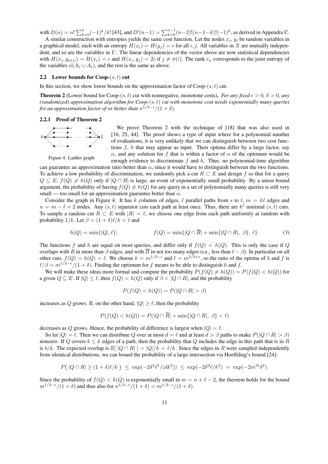with  $D(n) = n! \sum_{k=0}^{n} (-1)^k / k!$  [43], and  $D'(n-1) = \sum_{k=0}^{n-1} (n-2)! (n-1-k)! (-1)^k$ , as derived in Appendix C.

A similar construction with entropies yields the same cost function. Let the nodes  $x_i$ ,  $y_i$  be random variables in a graphical model, each with an entropy  $H(x_i) = H(y_i) = c$  for all i, j. All variables in X are mutually independent, and so are the variables in  $Y$ . The linear dependencies of the vector above are now statistical dependencies with  $H(x_i, y_{\sigma(i)}) = H(x_i) = c$  and  $H(x_i, y_j) = 2c$  if  $j \neq \sigma(i)$ . The rank  $r_{\sigma}$  corresponds to the joint entropy of the variables  $\phi(A_s \cup A_t)$ , and the rest is the same as above.

#### 2.2 Lower bounds for  $Coob-(s, t)$  cut

In this section, we show lower bounds on the approximation factor of  $Coop-(s, t)$  cut.

**Theorem 2** (Lower bound for Coop-(s, t) cut with nonnegative, monotone costs). *For any fixed*  $\epsilon > 0$ ,  $\delta > 0$ , any *(randomized) approximation algorithm for Coop-*(s, t) *cut with monotone cost needs exponentially many queries* for an approximation factor of or better than  $n^{1/3-\epsilon}/(1+\delta)$ .

#### 2.2.1 Proof of Theorem 2



We prove Theorem 2 with the technique of [18] that was also used in [16, 25, 44]. The proof shows a type of input where for a polynomial number of evaluations, it is very unlikely that we can distinguish between two cost functions  $f$ ,  $h$  that may appear as input. Their optima differ by a large factor, say α, and any solution for f that is within a factor of  $\alpha$  of the optimum would be enough evidence to discriminate  $f$  and  $h$ . Thus, no polynomial-time algorithm

Figure 4: Ladder graph

can guarantee an approximation ratio better than  $\alpha$ , since it would have to distinguish between the two functions. To achieve a low probability of discrimination, we randomly pick a cut  $R \subset E$  and design f so that for a query  $Q \subseteq E$ ,  $f(Q) \neq h(Q)$  only if  $|Q \cap R|$  is large, an event of exponentially small probability. By a union bound argument, the probability of having  $f(Q) \neq h(Q)$  for any query in a set of polynomially many queries is still very small — too small for an approximation guarantee better than  $\alpha$ .

Consider the graph in Figure 4. It has k columns of edges,  $\ell$  parallel paths from s to t,  $m = k\ell$  edges and  $n = m - \ell + 2$  nodes. Any  $(s, t)$  separator cuts each path at least once. Thus, there are  $k^{\ell}$  minimal  $(s, t)$  cuts. To sample a random cut  $R \subset E$  with  $|R| = \ell$ , we choose one edge from each path uniformly at random with probability  $1/k$ . Let  $\beta = (1 + \delta)\ell/k < \ell$  and

$$
h(Q) = \min\{|Q|, \ell\}; \qquad f(Q) = \min\{|Q \cap \overline{R}| + \min\{|Q \cap R|, \beta\}, \ell\}. \tag{3}
$$

The functions f and h are equal on most queries, and differ only if  $f(Q) < h(Q)$ . This is only the case if Q overlaps with R in more than  $\beta$  edges, and with R in not too many edges (i.e., less than  $\ell - \beta$ ). In particular on all other cuts,  $f(Q) = h(Q) = \ell$ . We choose  $k = m^{1/3-\epsilon}$  and  $\ell = m^{2/3+\epsilon}$ , so the ratio of the optima of h and f is  $\ell/\beta = m^{1/3-\epsilon}/(1+\delta)$ . Finding the optimum for f means to be able to distinguish h and f.

We will make these ideas more formal and compute the probability  $P(f(Q) \neq h(Q)) = P(f(Q) < h(Q))$  for a given  $Q \subseteq E$ . If  $|Q| \leq \ell$ , then  $f(Q) < h(Q)$  only if  $\beta < |Q \cap R|$ , and the probability

$$
P(f(Q) < h(Q)) = P(|Q \cap R| > \beta)
$$

increases as Q grows. If, on the other hand,  $|Q| \ge \ell$ , then the probability

$$
P(f(Q) < h(Q)) = P(|Q \cap \overline{R}| + \min\{|Q \cap R|, \beta\} < \ell)
$$

decreases as Q grows. Hence, the probability of difference is largest when  $|Q| = \ell$ .

So let  $|Q| = \ell$ . Then we can distribute Q over at most  $d = \ell$  and at least  $d > \beta$  paths to make  $P(|Q \cap R| > \beta)$ nonzero. If Q covers  $b \le k$  edges of a path, then the probability that Q includes the edge in this path that is in R is  $b/k$ . The expected overlap is  $\mathbb{E}[|Q \cap R|] = |Q|/k = \ell/k$ . Since the edges in R were sampled independently from identical distributions, we can bound the probability of a large intersection via Hoeffding's bound [24]:

$$
P(|Q \cap R| \ge (1+\delta)\ell/k) \le \exp(-2\delta^2 \ell^2/(dk^2)) \le \exp(-2\delta^2 \ell/k^2) = \exp(-2m^{3\epsilon}\delta^2).
$$

Since the probability of  $f(Q) < h(Q)$  is exponentially small in  $m = n + \ell - 2$ , the theorem holds for the bound  $m^{1/3-\epsilon}/(1+\delta)$  and thus also for  $n^{1/3-\epsilon}/(1+\delta) < m^{1/3-\epsilon}/(1+\delta)$ .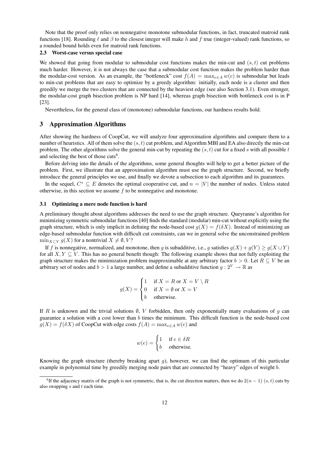Note that the proof only relies on nonnegative monotone submodular functions, in fact, truncated matroid rank functions [18]. Rounding  $\ell$  and  $\beta$  to the closest integer will make h and f true (integer-valued) rank functions, so a rounded bound holds even for matroid rank functions.

#### 2.3 Worst-case versus special case

We showed that going from modular to submodular cost functions makes the min-cut and  $(s, t)$  cut problems much harder. However, it is not always the case that a submodular cost function makes the problem harder than the modular-cost version. As an example, the "bottleneck" cost  $f(A) = \max_{e \in A} w(e)$  is submodular but leads to min-cut problems that are easy to optimize by a greedy algorithm: initially, each node is a cluster and then greedily we merge the two clusters that are connected by the heaviest edge (see also Section 3.1). Even stronger, the modular-cost graph bisection problem is NP hard [14], whereas graph bisection with bottleneck cost is in P [23].

Nevertheless, for the general class of (monotone) submodular functions, our hardness results hold.

#### 3 Approximation Algorithms

After showing the hardness of CoopCut, we will analyze four approximation algorithms and compare them to a number of heuristics. All of them solve the  $(s, t)$  cut problem, and Algorithm MBI and EA also directly the min-cut problem. The other algorithms solve the general min-cut by repeating the  $(s, t)$  cut for a fixed s with all possible t and selecting the best of those cuts<sup>6</sup>.

Before delving into the details of the algorithms, some general thoughts will help to get a better picture of the problem. First, we illustrate that an approximation algorithm must use the graph structure. Second, we briefly introduce the general principles we use, and finally we devote a subsection to each algorithm and its guarantees.

In the sequel,  $C^* \subseteq E$  denotes the optimal cooperative cut, and  $n = |V|$  the number of nodes. Unless stated otherwise, in this section we assume  $f$  to be nonnegative and monotone.

#### 3.1 Optimizing a mere node function is hard

A preliminary thought about algorithms addresses the need to use the graph structure. Queyranne's algorithm for minimizing symmetric submodular functions [40] finds the standard (modular) min-cut without explicitly using the graph structure, which is only implicit in defining the node-based cost  $g(X) = f(\delta X)$ . Instead of minimizing an edge-based submodular function with difficult cut constraints, can we in general solve the unconstrained problem  $\min_{X \subset V} g(X)$  for a nontrivial  $X \neq \emptyset, V$ ?

If f is nonnegative, normalized, and monotone, then g is subadditive, i.e., g satisfies  $g(X) + g(Y) \ge g(X \cup Y)$ for all  $X, Y \subseteq V$ . This has no general benefit though: The following example shows that not fully exploiting the graph structure makes the minimization problem inapproximable at any arbitrary factor  $b > 0$ . Let  $R \subseteq V$  be an arbitrary set of nodes and  $b > 1$  a large number, and define a subadditive function  $q: 2^V \to \mathbb{R}$  as

$$
g(X) = \begin{cases} 1 & \text{if } X = R \text{ or } X = V \setminus R \\ 0 & \text{if } X = \emptyset \text{ or } X = V \\ b & \text{otherwise.} \end{cases}
$$

If R is unknown and the trivial solutions  $\emptyset$ , V forbidden, then only exponentially many evaluations of g can guarantee a solution with a cost lower than  $b$  times the minimum. This difficult function is the node-based cost  $g(X) = f(\delta X)$  of CoopCut with edge costs  $f(A) = \max_{e \in A} w(e)$  and

$$
w(e) = \begin{cases} 1 & \text{if } e \in \delta R \\ b & \text{otherwise.} \end{cases}
$$

Knowing the graph structure (thereby breaking apart  $g$ ), however, we can find the optimum of this particular example in polynomial time by greedily merging node pairs that are connected by "heavy" edges of weight b.

<sup>&</sup>lt;sup>6</sup>If the adjacency matrix of the graph is not symmetric, that is, the cut direction matters, then we do  $2(n - 1)(s, t)$  cuts by also swapping s and t each time.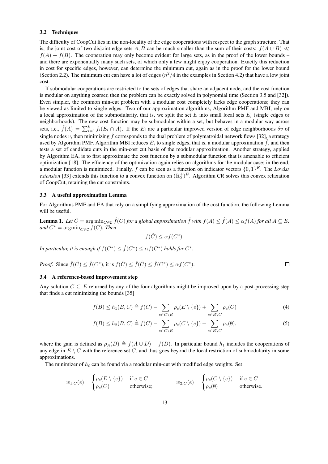#### 3.2 Techniques

The difficulty of CoopCut lies in the non-locality of the edge cooperations with respect to the graph structure. That is, the joint cost of two disjoint edge sets A, B can be much smaller than the sum of their costs:  $f(A \cup B) \ll$  $f(A) + f(B)$ . The cooperation may only become evident for large sets, as in the proof of the lower bounds – and there are exponentially many such sets, of which only a few might enjoy cooperation. Exactly this reduction in cost for specific edges, however, can determine the minimum cut, again as in the proof for the lower bound (Section 2.2). The minimum cut can have a lot of edges  $(n^2/4)$  in the examples in Section 4.2) that have a low joint cost.

If submodular cooperations are restricted to the sets of edges that share an adjacent node, and the cost function is modular on anything coarser, then the problem can be exactly solved in polynomial time (Section 3.5 and [32]). Even simpler, the common min-cut problem with a modular cost completely lacks edge cooperations; they can be viewed as limited to single edges. Two of our approximation algorithms, Algorithm PMF and MBI, rely on a local approximation of the submodularity, that is, we split the set E into small local sets  $E_i$  (single edges or neighborhoods). The new cost function may be submodular within a set, but behaves in a modular way across sets, i.e.,  $\hat{f}(A) = \sum_{i=1}^{k} f_i(E_i \cap A)$ . If the  $E_i$  are a particular improved version of edge neighborhoods  $\delta v$  of single nodes v, then minimizing  $\hat{f}$  corresponds to the dual problem of polymatroidal network flows [32], a strategy used by Algorithm PMF. Algorithm MBI reduces  $E_i$  to single edges, that is, a modular approximation  $\hat{f}$ , and then tests a set of candidate cuts in the min-cost cut basis of the modular approximation. Another strategy, applied by Algorithm EA, is to first approximate the cost function by a submodular function that is amenable to efficient optimization [18]. The efficiency of the optimization again relies on algorithms for the modular case; in the end, a modular function is minimized. Finally, f can be seen as a function on indicator vectors  $\{0,1\}^E$ . The *Lovász extension* [33] extends this function to a convex function on  $(\mathbb{R}_0^+)^E$ . Algorithm CR solves this convex relaxation of CoopCut, retaining the cut constraints.

#### 3.3 A useful approximation Lemma

For Algorithms PMF and EA that rely on a simplifying approximation of the cost function, the following Lemma will be useful.

**Lemma 1.** Let  $\hat{C} = \arg \min_{C \in \mathcal{C}} \hat{f}(C)$  for a global approximation  $\hat{f}$  with  $f(A) \leq \hat{f}(A) \leq \alpha f(A)$  for all  $A \subseteq E$ ,  $and C^* = \operatorname{argmin}_{C \in \mathcal{C}} f(C)$ *. Then* 

$$
f(\hat{C}) \leq \alpha f(C^*).
$$

In particular, it is enough if  $f(C^*) \leq \hat{f}(C^*) \leq \alpha f(C^*)$  holds for  $C^*$ .

*Proof.* Since 
$$
\hat{f}(\hat{C}) \leq \hat{f}(C^*)
$$
, it is  $f(\hat{C}) \leq \hat{f}(\hat{C}) \leq \hat{f}(C^*) \leq \alpha f(C^*)$ .

#### 3.4 A reference-based improvement step

Any solution  $C \subseteq E$  returned by any of the four algorithms might be improved upon by a post-processing step that finds a cut minimizing the bounds [35]

$$
f(B) \le h_1(B, C) \triangleq f(C) - \sum_{e \in C \setminus B} \rho_e(E \setminus \{e\}) + \sum_{e \in B \setminus C} \rho_e(C) \tag{4}
$$

$$
f(B) \le h_2(B, C) \triangleq f(C) - \sum_{e \in C \setminus B} \rho_e(C \setminus \{e\}) + \sum_{e \in B \setminus C} \rho_e(\emptyset),\tag{5}
$$

where the gain is defined as  $\rho_A(D) \triangleq f(A \cup D) - f(D)$ . In particular bound  $h_1$  includes the cooperations of any edge in  $E \setminus C$  with the reference set C, and thus goes beyond the local restriction of submodularity in some approximations.

The minimizer of  $h_\ell$  can be found via a modular min-cut with modified edge weights. Set

$$
w_{1,C}(e) = \begin{cases} \rho_e(E \setminus \{e\}) & \text{if } e \in C \\ \rho_e(C) & \text{otherwise}; \end{cases} \qquad w_{2,C}(e) = \begin{cases} \rho_e(C \setminus \{e\}) & \text{if } e \in C \\ \rho_e(\emptyset) & \text{otherwise}. \end{cases}
$$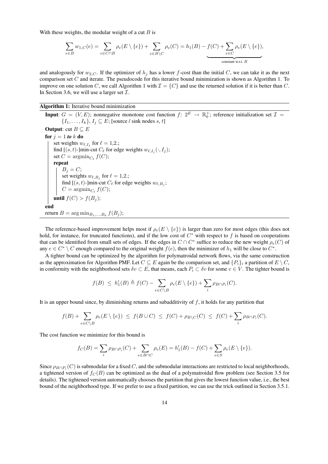With these weights, the modular weight of a cut  $B$  is

$$
\sum_{e \in B} w_{1,C}(e) = \sum_{e \in C \cap B} \rho_e(E \setminus \{e\}) + \sum_{e \in B \setminus C} \rho_e(C) = h_1(B) - \underbrace{f(C) + \sum_{e \in C} \rho_e(E \setminus \{e\})}_{\text{constant w.r.t. } B},
$$

and analogously for  $w_{2,C}$ . If the optimizer of  $h_j$  has a lower f-cost than the initial C, we can take it as the next comparison set C and iterate. The pseudocode for this iterative bound minimization is shown as Algorithm 1. To improve on one solution C, we call Algorithm 1 with  $\mathcal{I} = \{C\}$  and use the returned solution if it is better than C. In Section 3.6, we will use a larger set  $\mathcal{I}$ .

Algorithm 1: Iterative bound minimization

**Input**:  $G = (V, E)$ ; nonnegative monotone cost function  $f: 2^E \to \mathbb{R}_0^+$ ; reference initialization set  $\mathcal{I} =$  $\{I_1, \ldots, I_k\}, I_j \subseteq E$ ; [source / sink nodes s, t] **Output:** cut  $B \subseteq E$ for  $j = 1$  *to*  $k$  do set weights  $w_{\ell, I_j}$  for  $\ell = 1, 2$ .; find  $[(s, t)$ -]min-cut  $C_{\ell}$  for edge weights  $w_{\ell, I_j}(\cdot, I_j)$ ; set  $C = \operatorname{argmin}_{C_{\ell}} f(C);$ repeat  $B_j = C;$ set weights  $w_{\ell,B_j}$  for  $\ell = 1,2$ .; find  $[(s, t)$ -]min-cut  $C_{\ell}$  for edge weights  $w_{\ell, B_j}$ ;  $C = \operatorname{argmin}_{C_{\ell}} f(C);$ until  $f(C) > f(B_j);$ end return  $B = \arg \min_{B_1,...,B_k} f(B_j);$ 

The reference-based improvement helps most if  $\rho_e(E \setminus \{e\})$  is larger than zero for most edges (this does not hold, for instance, for truncated functions), and if the low cost of  $C^*$  with respect to f is based on cooperations that can be identified from small sets of edges. If the edges in  $C \cap C^*$  suffice to reduce the new weight  $\rho_e(C)$  of any  $e \in C^* \setminus C$  enough compared to the original weight  $f(e)$ , then the minimizer of  $h_1$  will be close to  $C^*$ .

A tighter bound can be optimized by the algorithm for polymatroidal network flows, via the same construction as the approximation for Algorithm PMF. Let  $C \subseteq E$  again be the comparison set, and  $\{P_i\}_i$  a partition of  $E \setminus C$ , in conformity with the neighborhood sets  $\delta v \subset E$ , that means, each  $P_i \subset \delta v$  for some  $v \in V$ . The tighter bound is

$$
f(B) \leq h'_1(B) \triangleq f(C) - \sum_{e \in C \setminus B} \rho_e(E \setminus \{e\}) + \sum_i \rho_{B \cap P_i}(C).
$$

It is an upper bound since, by diminishing returns and subadditivity of  $f$ , it holds for any partition that

$$
f(B) + \sum_{e \in C \setminus B} \rho_e(E \setminus \{e\}) \leq f(B \cup C) \leq f(C) + \rho_{B \setminus C}(C) \leq f(C) + \sum_i \rho_{B \cap P_i}(C).
$$

The cost function we minimize for this bound is

$$
f_C(B) = \sum_{i} \rho_{B \cap P_i}(C) + \sum_{e \in B \cap C} \rho_e(E) = h'_1(B) - f(C) + \sum_{e \in S} \rho_e(E \setminus \{e\}).
$$

Since  $\rho_{B \cap P_i}(C)$  is submodular for a fixed C, and the submodular interactions are restricted to local neighborhoods, a tightened version of  $f_C(B)$  can be optimized as the dual of a polymatroidal flow problem (see Section 3.5 for details). The tightened version automatically chooses the partition that gives the lowest function value, i.e., the best bound of the neighborhood type. If we prefer to use a fixed partition, we can use the trick outlined in Section 3.5.1.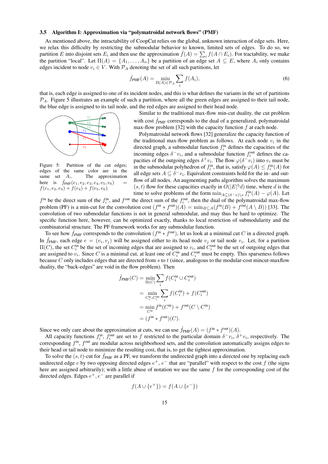#### 3.5 Algorithm I: Approximation via "polymatroidal network flows" (PMF)

As mentioned above, the intractability of CoopCut relies on the global, unknown interaction of edge sets. Here, we relax this difficulty by restricting the submodular behavior to known, limited sets of edges. To do so, we partition E into disjoint sets  $E_i$  and then use the approximation  $\hat{f}(A) = \sum_i f(A \cap E_i)$ . For tractability, we make the partition "local". Let  $\Pi(A) = \{A_1, \ldots, A_n\}$  be a partition of an edge set  $A \subseteq E$ , where  $A_i$  only contains edges incident to node  $v_i \in V$ . With  $\mathcal{P}_A$  denoting the set of all such partitions, let

$$
\hat{f}_{\text{PMF}}(A) = \min_{\Pi(A) \in \mathcal{P}_A} \sum_i f(A_i),\tag{6}
$$

that is, each edge is assigned to one of its incident nodes, and this is what defines the variants in the set of partitions  $P_A$ . Figure 5 illustrates an example of such a partition, where all the green edges are assigned to their tail node, the blue edge is assigned to its tail node, and the red edges are assigned to their head node.



Figure 5: Partition of the cut edges; edges of the same color are in the same set  $A_i$ . The approximation here is  $\hat{f}_{PMF}(e_1, e_2, e_3, e_4, e_5, e_6)$  $f(e_1, e_2, e_3) + f(e_4) + f(e_5, e_6).$ 

Similar to the traditional max-flow min-cut duality, the cut problem with cost  $f_{\text{PMF}}$  corresponds to the dual of a generalized, polymatroidal max-flow problem [32] with the capacity function  $f$  at each node.

Polymatroidal network flows [32] generalize the capacity function of the traditional max-flow problem as follows. At each node  $v_i$  in the directed graph, a submodular function  $f_i^{\text{in}}$  defines the capacities of the incoming edges  $\delta^- v_i$ , and a submodular function  $f_i^{\text{out}}$  defines the capacities of the outgoing edges  $\delta^+ v_i$ . The flow  $\varphi(\delta^- v_i)$  into  $v_i$  must be in the submodular polyhedron of  $f_i^{\text{in}}$ , that is, satisfy  $\varphi(A) \leq f_i^{\text{in}}(A)$  for all edge sets  $A \subseteq \delta^- v_i$ . Equivalent constraints hold for the in- and outflow of all nodes. An augmenting paths algorithm solves the maximum  $(s, t)$  flow for these capacities exactly in  $O(|E|^5 d)$  time, where d is the time to solve problems of the form  $\min_{A \subseteq (\delta^v v) \setminus e} f_i^{\text{in}}(A) - \varphi(A)$ . Let

 $f^{in}$  be the direct sum of the  $f_i^{in}$ , and  $f^{out}$  the direct sum of the  $f_i^{out}$ , then the dual of the polymatroidal max-flow problem (PF) is a min-cut for the convolution cost  $(f<sup>in</sup> * f<sup>out</sup>)(A) = min_{B \subseteq A}(f<sup>in</sup>(B) + f<sup>out</sup>(A \setminus B))$  [33]. The convolution of two submodular functions is not in general submodular, and may thus be hard to optimize. The specific function here, however, can be optimized exactly, thanks to local restriction of submodularity and the combinatorial structure. The PF framework works for any submodular function.

To see how  $\hat{f}_{PMF}$  corresponds to the convolution  $(f^{\text{in}} * f^{\text{out}})$ , let us look at a minimal cut C in a directed graph. In  $\hat{f}_{PMF}$ , each edge  $e = (v_i, v_j)$  will be assigned either to its head node  $v_j$  or tail node  $v_i$ . Let, for a partition  $\Pi(C)$ , the set  $C_i^{\text{in}}$  be the set of incoming edges that are assigned to  $v_i$ , and  $C_i^{\text{out}}$  be the set of outgoing edges that are assigned to  $v_i$ . Since C is a minimal cut, at least one of  $C_i^{\text{in}}$  and  $C_i^{\text{out}}$  must be empty. This sparseness follows because C only includes edges that are directed from s to  $t$  (since, analogous to the modular-cost mincut-maxflow duality, the "back-edges" are void in the flow problem). Then

$$
\hat{f}_{\text{PMF}}(C) = \min_{\Pi(C)} \sum_{i} f(C_i^{\text{in}} \cup C_i^{\text{out}})
$$
\n
$$
= \min_{C_i^{\text{in}}, C_i^{\text{out}}} \sum_{i} f(C_i^{\text{in}}) + f(C_i^{\text{out}})
$$
\n
$$
= \min_{C_i^{\text{in}}} f^{\text{in}}(C_i^{\text{in}}) + f^{\text{out}}(C \setminus C^{\text{in}})
$$
\n
$$
= (f^{\text{in}} * f^{\text{out}})(C).
$$

Since we only care about the approximation at cuts, we can use  $\hat{f}_{PMF}(A) = (f^{\text{in}} * f^{\text{out}})(A)$ .

All capacity functions  $f_i^{\text{in}}$ ,  $f_i^{\text{out}}$  are set to f restricted to the particular domain  $\delta^-v_i$ ,  $\delta^+v_i$ , respectively. The corresponding  $f^{\text{in}}$ ,  $f^{\text{out}}$  are modular across neighborhood sets, and the convolution automatically assigns edges to their head or tail node to minimize the resulting cost, that is, to get the tightest approximation.

To solve the  $(s, t)$ -cut for  $\hat{f}_{PMF}$  as a PF, we transform the undirected graph into a directed one by replacing each undirected edge e by two opposing directed edges  $e^+, e^-$  that are "parallel" with respect to the cost f (the signs here are assigned arbitrarily); with a little abuse of notation we use the same  $f$  for the corresponding cost of the directed edges. Edges  $e^+, e^-$  are parallel if

$$
f(A \cup \{e^+\}) = f(A \cup \{e^-\})
$$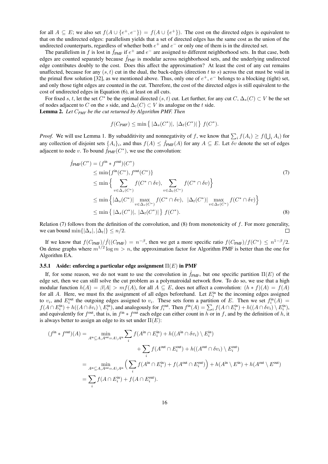for all  $A \subseteq E$ ; we also set  $f(A \cup \{e^+, e^-\}) = f(A \cup \{e^+\})$ . The cost on the directed edges is equivalent to that on the undirected edges: parallelism yields that a set of directed edges has the same cost as the union of the undirected counterparts, regardless of whether both  $e^+$  and  $e^-$  or only one of them is in the directed set.

The parallelism in f is lost in  $\hat{f}_{PMF}$  if  $e^+$  and  $e^-$  are assigned to different neighborhood sets. In that case, both edges are counted separately because  $\hat{f}_{PMF}$  is modular across neighborhood sets, and the underlying undirected edge contributes doubly to the cost. Does this affect the approximation? At least the cost of any cut remains unaffected, because for any  $(s, t)$  cut in the dual, the back-edges (direction t to s) across the cut must be void in the primal flow solution [32], as we mentioned above. Thus, only one of  $e^+, e^-$  belongs to a blocking (tight) set, and only those tight edges are counted in the cut. Therefore, the cost of the directed edges is still equivalent to the cost of undirected edges in Equation (6), at least on all cuts.

For fixed s, t, let the set  $C^*$  be the optimal directed  $(s, t)$  cut. Let further, for any cut  $C, \Delta_s(C) \subset V$  be the set of nodes adjacent to C on the s side, and  $\Delta_t(C) \subset V$  its analogue on the t side. Lemma 2. *Let* C*PMF be the cut returned by Algorithm PMF. Then*

$$
f(C_{PMF}) \le \min\left\{ |\Delta_s(C^*)|, |\Delta_t(C^*)| \right\} f(C^*).
$$

*Proof.* We will use Lemma 1. By subadditivity and nonnegativity of f, we know that  $\sum_i f(A_i) \ge f(\bigcup_i A_i)$  for any collection of disjoint sets  $\{A_i\}_i$ , and thus  $f(A) \leq \hat{f}_{PMF}(A)$  for any  $A \subseteq E$ . Let  $\delta v$  denote the set of edges adjacent to node v. To bound  $\hat{f}_{\text{PMF}}(C^*)$ , we use the convolution:

$$
\hat{f}_{\text{PMF}}(C^*) = (f^{\text{in}} * f^{\text{out}})(C^*)
$$
\n
$$
\leq \min\{f^{\text{in}}(C^*), f^{\text{out}}(C^*)\}
$$
\n
$$
\leq \min\left\{\sum_{v \in \Delta_s(C^*)} f(C^* \cap \delta v), \sum_{v \in \Delta_t(C^*)} f(C^* \cap \delta v)\right\}
$$
\n
$$
\leq \min\left\{\left|\Delta_s(C^*)\right| \max_{v \in \Delta_s(C^*)} f(C^* \cap \delta v), \left|\Delta_t(C^*)\right| \max_{v \in \Delta_t(C^*)} f(C^* \cap \delta v)\right\}
$$
\n
$$
\leq \min\left\{\left|\Delta_s(C^*)\right|, \left|\Delta_t(C^*)\right|\right\} f(C^*).
$$
\n(8)

Relation (7) follows from the definition of the convolution, and (8) from monotonicity of  $f$ . For more generality, we can bound min $\{|\Delta_s|, |\Delta_t|\} \leq n/2$ .  $\Box$ 

If we know that  $f(C_{\text{PMF}})/\hat{f}((C_{\text{PMF}}) = n^{-\beta}$ , then we get a more specific ratio  $f(C_{\text{PMF}})/f(C^*) \leq n^{1-\beta}/2$ . On dense graphs where  $m^{1/2} \log m > n$ , the approximation factor for Algorithm PMF is better than the one for Algorithm EA.

#### 3.5.1 Aside: enforcing a particular edge assignment  $\Pi(E)$  in PMF

If, for some reason, we do not want to use the convolution in  $\hat{f}_{PMF}$ , but one specific partition  $\Pi(E)$  of the edge set, then we can still solve the cut problem as a polymatroidal network flow. To do so, we use that a high modular function  $h(A) = \beta |A| > mf(A)$ , for all  $A \subseteq E$ , does not affect a convolution:  $(h * f)(A) = f(A)$ for all A. Here, we must fix the assignment of all edges beforehand. Let  $E_i^{\text{in}}$  be the incoming edges assigned to  $v_i$ , and  $E_i^{\text{out}}$  the outgoing edges assigned to  $v_i$ . These sets form a partition of E. Then we set  $f_i^{\text{in}}(A)$  =  $f(A \cap E_i^{\text{in}}) + h((A \cap \delta v_i) \setminus E_i^{\text{in}})$ , and analogously for  $f_i^{\text{out}}$ . Then  $f^{\text{in}}(A) = \sum_i f(A \cap E_i^{\text{in}}) + h((A \cap \delta v_i) \setminus E_i^{\text{in}})$ , and equivalently for  $f^{out}$ , that is, in  $f^{in} * f^{out}$  each edge can either count in h or in f, and by the definition of h, it is always better to assign an edge to its set under  $\Pi(E)$ :

$$
(f^{\text{in}} * f^{\text{out}})(A) = \min_{A^{\text{in}} \subseteq A, A^{\text{out}} = A \setminus A^{\text{in}}} \sum_{i} f(A^{\text{in}} \cap E_{i}^{\text{in}}) + h((A^{\text{in}} \cap \delta v_{i}) \setminus E_{i}^{\text{in}})
$$
  
+ 
$$
\sum_{i} f(A^{\text{out}} \cap E_{i}^{\text{out}}) + h((A^{\text{out}} \cap \delta v_{i}) \setminus E_{i}^{\text{out}})
$$
  
= 
$$
\min_{A^{\text{in}} \subseteq A, A^{\text{out}} = A \setminus A^{\text{in}}} \left( \sum_{i} f(A^{\text{in}} \cap E_{i}^{\text{in}}) + f(A^{\text{out}} \cap E_{i}^{\text{out}}) \right) + h(A^{\text{in}} \setminus E^{\text{in}}) + h(A^{\text{out}} \setminus E^{\text{out}})
$$
  
= 
$$
\sum_{i} f(A \cap E_{i}^{\text{in}}) + f(A \cap E_{i}^{\text{out}}).
$$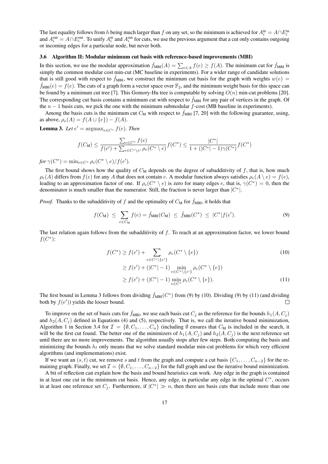The last equality follows from h being much larger than f on any set, so the minimum is achieved for  $A_i^{\text{in}} = A \cap E_i^{\text{in}}$ and  $A_i^{\text{out}} = A \cap E_i^{\text{out}}$ . To unify  $A_i^{\text{in}}$  and  $A_i^{\text{out}}$  for cuts, we use the previous argument that a cut only contains outgoing or incoming edges for a particular node, but never both.

#### 3.6 Algorithm II: Modular minimum cut basis with reference-based improvements (MBI)

In this section, we use the modular approximation  $\hat{f}_{MBI}(A) = \sum_{e \in A} f(e) \ge f(A)$ . The minimum cut for  $\hat{f}_{MBI}$  is simply the common modular cost min-cut (MC baseline in experiments). For a wider range of candidate solutions that is still good with respect to  $\hat{f}_{MBI}$ , we construct the minimum cut basis for the graph with weights  $w(e)$  $\hat{f}_{MBI}(e) = f(e)$ . The cuts of a graph form a vector space over  $\mathbb{F}_2$ , and the minimum weight basis for this space can be found by a minimum cut tree [7]. This Gomory-Hu tree is computable by solving  $O(n)$  min-cut problems [20]. The corresponding cut basis contains a minimum cut with respect to  $\hat{f}_{MBI}$  for any pair of vertices in the graph. Of the  $n - 1$  basis cuts, we pick the one with the minimum submodular f-cost (MB baseline in experiments).

Among the basis cuts is the minimum cut  $C_M$  with respect to  $\hat{f}_{MBI}$  [7, 20] with the following guarantee, using, as above,  $\rho_e(A) = f(A \cup \{e\}) - f(A)$ .

**Lemma 3.** Let  $e' = \argmax_{e \in C^*} f(e)$ . Then

$$
f(C_M) \le \frac{\sum_{e \in C^*} f(e)}{f(e') + \sum_{e \in C^* \setminus e'} \rho_e(C^* \setminus e)} f(C^*) \le \frac{|C^*|}{1 + (|C^*| - 1)\gamma(C^*)} f(C^*)
$$

*for*  $\gamma(C^*) = \min_{e \in C^*} \rho_e(C^* \setminus e) / f(e').$ 

The first bound shows how the quality of  $C_M$  depends on the degree of subadditivity of f, that is, how much  $\rho_e(A)$  differs from  $f(e)$  for any A that does not contain e. A modular function always satisfies  $\rho_e(A \setminus e) = f(e)$ , leading to an approximation factor of one. If  $\rho_e(C^* \setminus e)$  is zero for many edges e, that is,  $\gamma(C^*) = 0$ , then the denominator is much smaller than the numerator. Still, the fraction is never larger than  $|C^*|$ .

*Proof.* Thanks to the subadditivity of f and the optimality of  $C_M$  for  $\hat{f}_{MBI}$ , it holds that

$$
f(C_M) \le \sum_{e \in C_M} f(e) = \hat{f}_{MBI}(C_M) \le \hat{f}_{MBI}(C^*) \le |C^*| f(e'). \tag{9}
$$

The last relation again follows from the subadditivity of  $f$ . To reach at an approximation factor, we lower bound  $f(C^*)$ :

$$
f(C^*) \ge f(e') + \sum_{e \in C^* \setminus \{e'\}} \rho_e(C^* \setminus \{e\})
$$
  
\n
$$
\ge f(e') + (|C^*| - 1) \min_{e \in C^* \setminus \{e'\}} \rho_e(C^* \setminus \{e\})
$$
  
\n
$$
\ge f(e') + (|C^*| - 1) \min_{e \in C^*} \rho_e(C^* \setminus \{e\}).
$$
\n(11)

The first bound in Lemma 3 follows from dividing  $\hat{f}_{MBI}(C^*)$  from (9) by (10). Dividing (9) by (11) (and dividing both by  $f(e')$ ) yields the looser bound.  $\Box$ 

To improve on the set of basis cuts for  $f_{MBI}$ , we use each basis cut  $C_i$  as the reference for the bounds  $h_1(A, C_i)$ and  $h_2(A, C_i)$  defined in Equations (4) and (5), respectively. That is, we call the iterative bound minimization, Algorithm 1 in Section 3.4 for  $\mathcal{I} = \{\emptyset, C_1, \ldots, C_n\}$  (including  $\emptyset$  ensures that  $C_M$  is included in the search, it will be the first cut found. The better one of the minimizers of  $h_1(A, C_i)$  and  $h_2(A, C_i)$  is the next reference set until there are no more improvements. The algorithm usually stops after few steps. Both computing the basis and minimizing the bounds  $h_\ell$  only means that we solve standard modular min-cut problems for which very efficient algorithms (and implementations) exist.

If we want an  $(s, t)$  cut, we remove s and t from the graph and compute a cut basis  $\{C_1, \ldots, C_{n-2}\}$  for the remaining graph. Finally, we set  $\mathcal{I} = \{\emptyset, C_1, \ldots, C_{n-2}\}\$  for the full graph and use the iterative bound minimization.

A bit of reflection can explain how the basis and bound heuristics can work. Any edge in the graph is contained in at least one cut in the minimum cut basis. Hence, any edge, in particular any edge in the optimal  $C^*$ , occurs in at least one reference set  $C_j$ . Furthermore, if  $|C^*| \gg n$ , then there are basis cuts that include more than one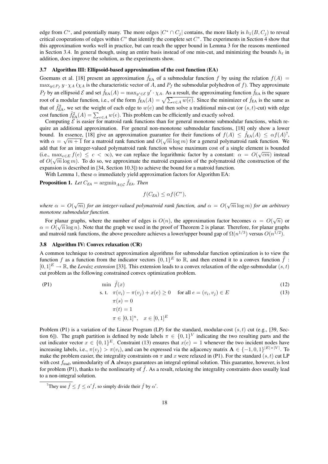edge from  $C^*$ , and potentially many. The more edges  $|C^* \cap C_j|$  contains, the more likely is  $h_1(B, C_j)$  to reveal critical cooperations of edges within  $C^*$  that identify the complete set  $C^*$ . The experiments in Section 4 show that this approximation works well in practice, but can reach the upper bound in Lemma 3 for the reasons mentioned in Section 3.4. In general though, using an entire basis instead of one min-cut, and minimizing the bounds  $h_\ell$  in addition, does improve the solution, as the experiments show.

#### 3.7 Algorithm III: Ellipsoid-based approximation of the cost function (EA)

Goemans et al. [18] present an approximation  $\hat{f}_{EA}$  of a submodular function f by using the relation  $f(A)$  =  $\max_{y \in P_f} y \cdot \chi_A (\chi_A)$  is the characteristic vector of A, and  $P_f$  the submodular polyhedron of f). They approximate  $P_f$  by an ellipsoid  $\mathcal E$  and set  $\hat f_{EA}(A) = \max_{y' \in \mathcal E} y' \cdot \chi_A$ . As a result, the approximating function  $\hat f_{EA}$  is the square root of a modular function, i.e., of the form  $\hat{f}_{EA}(A) = \sqrt{\sum_{e \in A} w(e)}$ . Since the minimizer of  $\hat{f}_{EA}$  is the same as that of  $\hat{f}_{EA}^2$ , we set the weight of each edge to  $w(e)$  and then solve a traditional min-cut (or  $(s, t)$ -cut) with edge cost function  $\hat{f}_{EA}^2(A) = \sum_{e \in A} w(e)$ . This problem can be efficiently and exactly solved.

Computing  $\mathcal E$  is easier for matroid rank functions than for general monotone submodular functions, which require an additional approximation. For general non-monotone submodular functions, [18] only show a lower bound. In essence, [18] give an approximation guarantee for their functions of  $f(A) \leq \hat{f}_{EA}(A) \leq \alpha f(A)^7$ , with  $\alpha = \sqrt{m+1}$  for a matroid rank function and  $O(\sqrt{m} \log m)$  for a general polymatroid rank function. We add that for an integer-valued polymatroid rank function whose maximum cost of a single element is bounded (i.e.,  $\max_{e \in E} f(e) \leq c < \infty$ ), we can replace the logarithmic factor by a constant:  $\alpha = O(\sqrt{cm})$  instead of  $O(\sqrt{m}\log m)$ . To do so, we approximate the matroid expansion of the polymatroid (the construction of the expansion is described in [34, Section 10.3]) to achieve the bound for a matroid function.

With Lemma 1, these  $\alpha$  immediately yield approximation factors for Algorithm EA:

**Proposition 1.** Let  $C_{EA} = \operatorname{argmin}_{A \in \mathcal{C}} \hat{f}_{EA}$ . Then

$$
f(C_{EA}) \leq \alpha f(C^*),
$$

*where*  $\alpha = O(\sqrt{m})$  *for an integer-valued polymatroid rank function, and*  $\alpha = O(\sqrt{m} \log m)$  *for an arbitrary monotone submodular function.*

For planar graphs, where the number of edges is  $O(n)$ , the approximation factor becomes  $\alpha = O(\sqrt{n})$  or  $\alpha = O(\sqrt{n}\log n)$ . Note that the graph we used in the proof of Theorem 2 is planar. Therefore, for planar graphs and matroid rank functions, the above procedure achieves a lower/upper bound gap of  $\Omega(n^{1/3})$  versus  $O(n^{1/2})$ .

#### 3.8 Algorithm IV: Convex relaxation (CR)

A common technique to construct approximation algorithms for submodular function optimization is to view the function f as a function from the indicator vectors  $\{0,1\}^E$  to R, and then extend it to a convex function  $\tilde{f}$ :  $[0, 1]^E \rightarrow \mathbb{R}$ , the *Lovász extension* [33]. This extension leads to a convex relaxation of the edge-submodular  $(s, t)$ cut problem as the following constrained convex optimization problem.

$$
(P1) \tmin \tilde{f}(x) \t(12)
$$

s. t. 
$$
\pi(v_i) - \pi(v_j) + x(e) \ge 0
$$
 for all  $e = (v_i, v_j) \in E$  (13)

$$
\pi(s) = 0
$$
  
\n
$$
\pi(t) = 1
$$
  
\n
$$
\pi \in [0, 1]^n, \quad x \in [0, 1]^E
$$

Problem (P1) is a variation of the Linear Program (LP) for the standard, modular-cost  $(s, t)$  cut (e.g., [39, Section 6]). The graph partition is defined by node labels  $\pi \in \{0,1\}^V$  indicating the two resulting parts and the cut indicator vector  $x \in \{0,1\}^E$ . Constraint (13) ensures that  $x(e) = 1$  whenever the two incident nodes have increasing labels, i.e.,  $\pi(v_j) > \pi(v_i)$ , and can be expressed via the adjacency matrix  $\mathbf{A} \in \{-1,0,1\}^{|E| \times |V|}$ . To make the problem easier, the integrality constraints on  $\pi$  and  $x$  were relaxed in (P1). For the standard  $(s, t)$  cut LP with cost  $f_{\text{trad}}$ , unimodularity of A always guarantees an integral optimal solution. This guarantee, however, is lost for problem (P1), thanks to the nonlinearity of  $f$ . As a result, relaxing the integrality constraints does usually lead to a non-integral solution.

<sup>&</sup>lt;sup>7</sup>They use  $\hat{f} \le f \le \alpha' \hat{f}$ , so simply divide their  $\hat{f}$  by  $\alpha'$ .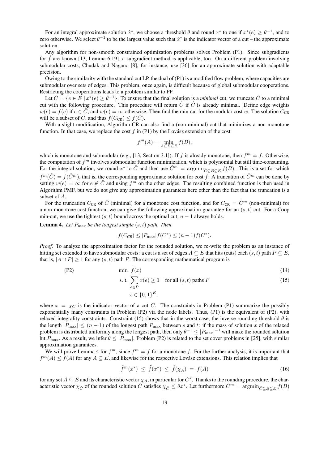For an integral approximate solution  $\hat{x}^*$ , we choose a threshold  $\theta$  and round  $x^*$  to one if  $x^*(e) \ge \theta^{-1}$ , and to zero otherwise. We select  $\theta^{-1}$  to be the largest value such that  $\hat{x}^*$  is the indicator vector of a cut – the approximate solution.

Any algorithm for non-smooth constrained optimization problems solves Problem (P1). Since subgradients for  $f$  are known [13, Lemma 6.19], a subgradient method is applicable, too. On a different problem involving submodular costs, Chudak and Nagano [8], for instance, use [36] for an approximate solution with adaptable precision.

Owing to the similarity with the standard cut LP, the dual of (P1) is a modified flow problem, where capacities are submodular over sets of edges. This problem, once again, is difficult because of global submodular cooperations. Restricting the cooperations leads to a problem similar to PF.

Let  $\hat{C} = \{e \in E \mid x^*(e) \geq \theta^{-1}\}\$ . To ensure that the final solution is a *minimal* cut, we truncate  $\hat{C}$  to a minimal cut with the following procedure. This procedure will return  $\hat{C}$  if  $\hat{C}$  is already minimal. Define edge weights  $w(e) = f(e)$  if  $e \in \hat{C}$ , and  $w(e) = \infty$  otherwise. Then find the min-cut for the modular cost w. The solution  $C_{CR}$ will be a subset of  $\hat{C}$ , and thus  $f(C_{CR}) \leq f(\hat{C})$ .

With a slight modification, Algorithm CR can also find a (non-minimal) cut that minimizes a non-monotone function. In that case, we replace the cost f in  $(P1)$  by the Lovász extension of the cost

$$
f^m(A) = \min_{A \subseteq B \subseteq E} f(B),
$$

which is monotone and submodular (e.g., [13, Section 3.1]). If f is already monotone, then  $f<sup>m</sup> = f$ . Otherwise, the computation of  $f<sup>m</sup>$  involves submodular function minimization, which is polynomial but still time-consuming. For the integral solution, we round  $x^*$  to  $\hat{C}$  and then use  $\hat{C}^m = \operatorname{argmin}_{\hat{C} \subseteq B \subseteq E} f(B)$ . This is a set for which  $f^m(\hat{C}) = f(\hat{C}^m)$ , that is, the corresponding approximate solution for cost f. A truncation of  $\hat{C}^m$  can be done by setting  $w(e) = \infty$  for  $e \notin \hat{C}$  and using  $f^m$  on the other edges. The resulting combined function is then used in Algorithm PMF, but we do not give any approximation guarantees here other than the fact that the truncation is a subset of  $\hat{A}$ .

For the truncation  $C_{CR}$  of  $\hat{C}$  (minimal) for a monotone cost function, and for  $C_{CR} = \hat{C}^m$  (non-minimal) for a non-monotone cost function, we can give the following approximation guarantee for an  $(s, t)$  cut. For a Coop min-cut, we use the tightest  $(s, t)$  bound across the optimal cut;  $n - 1$  always holds.

**Lemma 4.** Let  $P_{\text{max}}$  be the longest simple  $(s, t)$  path. Then

$$
f(C_{CR}) \le |P_{\text{max}}| f(C^*) \le (n-1)f(C^*).
$$

*Proof.* To analyze the approximation factor for the rounded solution, we re-write the problem as an instance of hitting set extended to have submodular costs: a cut is a set of edges  $A \subseteq E$  that hits (cuts) each  $(s, t)$  path  $P \subseteq E$ , that is,  $|A \cap P| \ge 1$  for any  $(s, t)$  path P. The corresponding mathematical program is

$$
(P2) \tmin \tilde{f}(x) \t(14)
$$

s. t. 
$$
\sum_{e \in P} x(e) \ge 1 \quad \text{for all } (s, t) \text{ paths } P
$$

$$
x \in \{0, 1\}^E,
$$
 (15)

where  $x = \chi_C$  is the indicator vector of a cut C. The constraints in Problem (P1) summarize the possibly exponentially many constraints in Problem (P2) via the node labels. Thus, (P1) is the equivalent of (P2), with relaxed integrality constraints. Constraint (15) shows that in the worst case, the inverse rounding threshold  $\theta$  is the length  $|P_{\text{max}}| \leq (n-1)$  of the longest path  $P_{\text{max}}$  between s and t: if the mass of solution x of the relaxed problem is distributed uniformly along the longest path, then only  $\theta^{-1} \leq |P_{\max}|^{-1}$  will make the rounded solution hit  $P_{\text{max}}$ . As a result, we infer  $\theta \leq |P_{\text{max}}|$ . Problem (P2) is related to the set cover problems in [25], with similar approximation guarantees.

We will prove Lemma 4 for  $f^m$ , since  $f^m = f$  for a monotone f. For the further analysis, it is important that  $f^{m}(A) \le f(A)$  for any  $A \subseteq E$ , and likewise for the respective Lovász extensions. This relation implies that

$$
\tilde{f}^m(x^*) \le \tilde{f}(x^*) \le \tilde{f}(\chi_A) = f(A) \tag{16}
$$

for any set  $A \subseteq E$  and its characteristic vector  $\chi_A$ , in particular for  $C^*$ . Thanks to the rounding procedure, the characteristic vector  $\chi_{\hat{C}}$  of the rounded solution  $\hat{C}$  satisfies  $\chi_{\hat{C}} \leq \theta x^*$ . Let furthermore  $\hat{C}^m = \operatorname{argmin}_{\hat{C} \subseteq B \subseteq E} f(B)$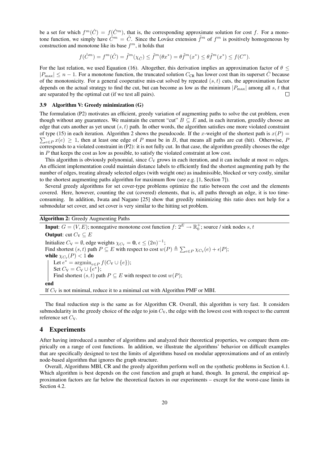be a set for which  $f^m(\hat{C}) = f(\hat{C}^m)$ , that is, the corresponding approximate solution for cost f. For a monotone function, we simply have  $\hat{C}^m = \hat{C}$ . Since the Lovász extension  $\tilde{f}^m$  of  $f^m$  is positively homogeneous by construction and monotone like its base  $f^m$ , it holds that

$$
f(\hat{C}^m)=f^m(\hat{C})=\tilde{f}^m(\chi_{\hat{C}})\leq \tilde{f}^m(\theta x^*)=\theta \tilde{f}^m(x^*)\leq \theta \tilde{f}^m(x^*)\leq f(C^*).
$$

For the last relation, we used Equation (16). Altogether, this derivation implies an approximation factor of  $\theta$  <  $|P_{\text{max}}| \leq n - 1$ . For a monotone function, the truncated solution  $C_{\text{CR}}$  has lower cost than its superset C because of the monotonicity. For a general cooperative min-cut solved by repeated  $(s, t)$  cuts, the approximation factor depends on the actual strategy to find the cut, but can become as low as the minimum  $|P_{\text{max}}|$  among all s, t that are separated by the optimal cut (if we test all pairs).

#### 3.9 Algorithm V: Greedy minimization (G)

The formulation (P2) motivates an efficient, greedy variation of augmenting paths to solve the cut problem, even though without any guarantees. We maintain the current "cut"  $B \subseteq E$  and, in each iteration, greedily choose an edge that cuts another as yet uncut  $(s, t)$  path. In other words, the algorithm satisfies one more violated constraint  $\sum_{e \in P} x(e) \ge 1$ , then at least one edge of P must be in B, that means all paths are cut (hit). Otherwise, F of type (15) in each iteration. Algorithm 2 shows the pseudocode. If the x-weight of the shortest path is  $x(P)$  = corresponds to a violated constraint in (P2): it is not fully cut. In that case, the algorithm greedily chooses the edge in  $P$  that keeps the cost as low as possible, to satisfy the violated constraint at low cost.

This algorithm is obviously polynomial, since  $C_V$  grows in each iteration, and it can include at most m edges. An efficient implementation could maintain distance labels to efficiently find the shortest augmenting path by the number of edges, treating already selected edges (with weight one) as inadmissible, blocked or very costly, similar to the shortest augmenting paths algorithm for maximum flow (see e.g.  $[1, Section 7]$ ).

Several greedy algorithms for set cover-type problems optimize the ratio between the cost and the elements covered. Here, however, counting the cut (covered) elements, that is, all paths through an edge, it is too timeconsuming. In addition, Iwata and Nagano [25] show that greedily minimizing this ratio does not help for a submodular set cover, and set cover is very similar to the hitting set problem.

Algorithm 2: Greedy Augmenting Paths

**Input**:  $G = (V, E)$ ; nonnegative monotone cost function  $f: 2^E \to \mathbb{R}_0^+$ ; source / sink nodes s, t **Output:** cut  $C_V \subseteq E$ Initialize  $C_V = \emptyset$ , edge weights  $\chi_{C_V} = \mathbf{0}, \epsilon \leq (2n)^{-1}$ ; Find shortest  $(s, t)$  path  $P \subseteq E$  with respect to cost  $w(P) \triangleq \sum_{e \in P} \chi_{C_V}(e) + \epsilon |P|$ ; while  $\chi_{C_V}(P) < 1$  do Let  $e^* = \operatorname{argmin}_{e \in P} f(C_{\mathsf{V}} \cup \{e\});$ Set  $C_{\rm V} = C_{\rm V} \cup \{e^*\};$ Find shortest  $(s, t)$  path  $P \subseteq E$  with respect to cost  $w(P)$ ; end If  $C_V$  is not minimal, reduce it to a minimal cut with Algorithm PMF or MBI.

The final reduction step is the same as for Algorithm CR. Overall, this algorithm is very fast. It considers submodularity in the greedy choice of the edge to join  $C_V$ , the edge with the lowest cost with respect to the current reference set  $C_V$ .

## 4 Experiments

After having introduced a number of algorithms and analyzed their theoretical properties, we compare them empirically on a range of cost functions. In addition, we illustrate the algorithms' behavior on difficult examples that are specifically designed to test the limits of algorithms based on modular approximations and of an entirely node-based algorithm that ignores the graph structure.

Overall, Algorithms MBI, CR and the greedy algorithm perform well on the synthetic problems in Section 4.1. Which algorithm is best depends on the cost function and graph at hand, though. In general, the empirical approximation factors are far below the theoretical factors in our experiments – except for the worst-case limits in Section 4.2.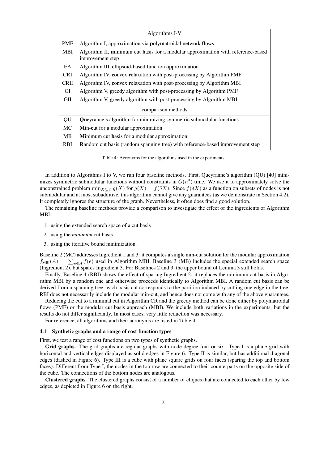| Algorithms I-V     |                                                                                                      |  |  |  |
|--------------------|------------------------------------------------------------------------------------------------------|--|--|--|
| <b>PMF</b>         | Algorithm I, approximation via polymatroidal network flows                                           |  |  |  |
| <b>MBI</b>         | Algorithm II, minimum cut basis for a modular approximation with reference-based<br>improvement step |  |  |  |
| EA                 | Algorithm III, ellipsoid-based function approximation                                                |  |  |  |
| <b>CRI</b>         | Algorithm IV, convex relaxation with post-processing by Algorithm PMF                                |  |  |  |
| <b>CRII</b>        | Algorithm IV, convex relaxation with post-processing by Algorithm MBI                                |  |  |  |
| GI                 | Algorithm V, greedy algorithm with post-processing by Algorithm PMF                                  |  |  |  |
| GП                 | Algorithm V, greedy algorithm with post-processing by Algorithm MBI                                  |  |  |  |
| comparison methods |                                                                                                      |  |  |  |
| QU                 | Queyranne's algorithm for minimizing symmetric submodular functions                                  |  |  |  |
| MC                 | Min-cut for a modular approximation                                                                  |  |  |  |
| MВ                 | Minimum cut basis for a modular approximation                                                        |  |  |  |
| RBI                | <b>Random cut basis (random spanning tree) with reference-based improvement step</b>                 |  |  |  |

Table 4: Acronyms for the algorithms used in the experiments.

In addition to Algorithms I to V, we run four baseline methods. First, Queyranne's algorithm (QU) [40] minimizes symmetric submodular functions without constraints in  $O(n^3)$  time. We use it to approximately solve the unconstrained problem  $\min_{X\subset V} g(X)$  for  $g(X) = f(\delta X)$ . Since  $f(\delta X)$  as a function on subsets of nodes is not submodular and at most subadditive, this algorithm cannot give any guarantees (as we demonstrate in Section 4.2). It completely ignores the structure of the graph. Nevertheless, it often does find a good solution.

The remaining baseline methods provide a comparison to investigate the effect of the ingredients of Algorithm MBI:

- 1. using the extended search space of a cut basis
- 2. using the *minimum* cut basis
- 3. using the iterative bound minimization.

Baseline 2 (MC) addresses Ingredient 1 and 3: it computes a single min-cut solution for the modular approximation  $\hat{f}_{MBI}(A) = \sum_{e \in A} f(e)$  used in Algorithm MBI. Baseline 3 (MB) includes the special extended search space (Ingredient 2), but spares Ingredient 3. For Baselines 2 and 3, the upper bound of Lemma 3 still holds.

Finally, Baseline 4 (RBI) shows the effect of sparing Ingredient 2: it replaces the minimum cut basis in Algorithm MBI by a random one and otherwise proceeds identically to Algorithm MBI. A random cut basis can be derived from a spanning tree: each basis cut corresponds to the partition induced by cutting one edge in the tree. RBI does not necessarily include the modular min-cut, and hence does not come with any of the above guarantees.

Reducing the cut to a minimal cut in Algorithm CR and the greedy method can be done either by polymatroidal flows (PMF) or the modular cut basis approach (MBI). We include both variations in the experiments, but the results do not differ significantly. In most cases, very little reduction was necessary.

For reference, all algorithms and their acronyms are listed in Table 4.

#### 4.1 Synthetic graphs and a range of cost function types

First, we test a range of cost functions on two types of synthetic graphs.

Grid graphs. The grid graphs are regular graphs with node degree four or six. Type I is a plane grid with horizontal and vertical edges displayed as solid edges in Figure 6. Type II is similar, but has additional diagonal edges (dashed in Figure 6). Type III is a cube with plane square grids on four faces (sparing the top and bottom faces). Different from Type I, the nodes in the top row are connected to their counterparts on the opposite side of the cube. The connections of the bottom nodes are analogous.

Clustered graphs. The clustered graphs consist of a number of cliques that are connected to each other by few edges, as depicted in Figure 6 on the right.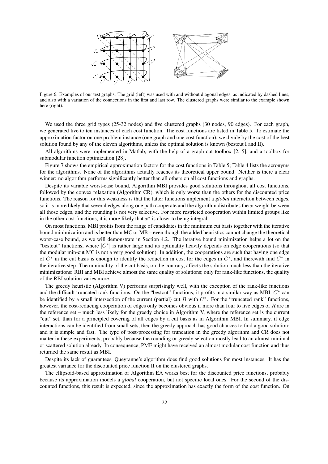

Figure 6: Examples of our test graphs. The grid (left) was used with and without diagonal edges, as indicated by dashed lines, and also with a variation of the connections in the first and last row. The clustered graphs were similar to the example shown here (right).

We used the three grid types (25-32 nodes) and five clustered graphs (30 nodes, 90 edges). For each graph, we generated five to ten instances of each cost function. The cost functions are listed in Table 5. To estimate the approximation factor on one problem instance (one graph and one cost function), we divide by the cost of the best solution found by any of the eleven algorithms, unless the optimal solution is known (bestcut I and II).

All algorithms were implemented in Matlab, with the help of a graph cut toolbox [2, 5], and a toolbox for submodular function optimization [28].

Figure 7 shows the empirical approximation factors for the cost functions in Table 5; Table 4 lists the acronyms for the algorithms. None of the algorithms actually reaches its theoretical upper bound. Neither is there a clear winner: no algorithm performs significantly better than all others on all cost functions and graphs.

Despite its variable worst-case bound, Algorithm MBI provides good solutions throughout all cost functions, followed by the convex relaxation (Algorithm CR), which is only worse than the others for the discounted price functions. The reason for this weakness is that the latter functions implement a *global* interaction between edges, so it is more likely that several edges along one path cooperate and the algorithm distributes the  $x$ -weight between all those edges, and the rounding is not very selective. For more restricted cooperation within limited groups like in the other cost functions, it is more likely that  $x^*$  is closer to being integral.

On most functions, MBI profits from the range of candidates in the minimum cut basis together with the iterative bound minimization and is better than MC or MB – even though the added heuristics cannot change the theoretical worst-case bound, as we will demonstrate in Section 4.2. The iterative bound minimization helps a lot on the "bestcut" functions, where  $|C^*|$  is rather large and its optimality heavily depends on edge cooperations (so that the modular min-cut MC is not a very good solution). In addition, the cooperations are such that having one edge of  $C^*$  in the cut basis is enough to identify the reduction in cost for the edges in  $C^*$ , and therewith find  $C^*$  in the iterative step. The minimality of the cut basis, on the contrary, affects the solution much less than the iterative minimizations: RBI and MBI achieve almost the same quality of solutions; only for rank-like functions, the quality of the RBI solution varies more.

The greedy heuristic (Algorithm V) performs surprisingly well, with the exception of the rank-like functions and the difficult truncated rank functions. On the "bestcut" functions, it profits in a similar way as MBI:  $C^*$  can be identified by a small intersection of the current (partial) cut  $B$  with  $C^*$ . For the "truncated rank" functions, however, the cost-reducing cooperation of edges only becomes obvious if more than four to five edges of R are in the reference set – much less likely for the greedy choice in Algorithm V, where the reference set is the current "cut" set, than for a principled covering of all edges by a cut basis as in Algorithm MBI. In summary, if edge interactions can be identified from small sets, then the greedy approach has good chances to find a good solution; and it is simple and fast. The type of post-processing for truncation in the greedy algorithm and CR does not matter in these experiments, probably because the rounding or greedy selection mostly lead to an almost minimal or scattered solution already. In consequence, PMF might have received an almost modular cost function and thus returned the same result as MBI.

Despite its lack of guarantees, Queyranne's algorithm does find good solutions for most instances. It has the greatest variance for the discounted price function II on the clustered graphs.

The ellipsoid-based approximation of Algorithm EA works best for the discounted price functions, probably because its approximation models a *global* cooperation, but not specific local ones. For the second of the discounted functions, this result is expected, since the approximation has exactly the form of the cost function. On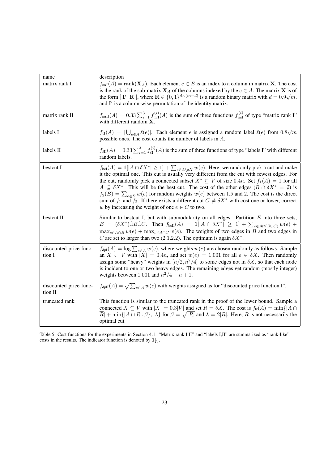| name                              | description                                                                                                                                                                                                                                                                                                                                                                                                                                                                                                                                                                                                                                                                                                                                                      |
|-----------------------------------|------------------------------------------------------------------------------------------------------------------------------------------------------------------------------------------------------------------------------------------------------------------------------------------------------------------------------------------------------------------------------------------------------------------------------------------------------------------------------------------------------------------------------------------------------------------------------------------------------------------------------------------------------------------------------------------------------------------------------------------------------------------|
| matrix rank I                     | $f_{\text{mrI}}(A) = \text{rank}(\mathbf{X}_A)$ . Each element $e \in E$ is an index to a column in matrix <b>X</b> . The cost<br>is the rank of the sub-matrix $X_A$ of the columns indexed by the $e \in A$ . The matrix X is of<br>the form $[I' \ R]$ , where $R \in \{0,1\}^{d \times (m-d)}$ is a random binary matrix with $d = 0.9\sqrt{m}$ ,<br>and $I'$ is a column-wise permutation of the identity matrix.                                                                                                                                                                                                                                                                                                                                           |
| matrix rank II                    | $f_{\text{mrII}}(A) = 0.33 \sum_{i=1}^{3} f_{\text{mrI}}^{(i)}(A)$ is the sum of three functions $f_{\text{mrI}}^{(i)}$ of type "matrix rank I"<br>with different random X.                                                                                                                                                                                                                                                                                                                                                                                                                                                                                                                                                                                      |
| labels I                          | $f_{\ell I}(A) =  \bigcup_{e \in A} \ell(e) $ . Each element e is assigned a random label $\ell(e)$ from $0.8\sqrt{m}$<br>possible ones. The cost counts the number of labels in $A$ .                                                                                                                                                                                                                                                                                                                                                                                                                                                                                                                                                                           |
| labels II                         | $f_{\ell \Pi}(A) = 0.33 \sum_{i=1}^{3} f_{\ell \Pi}^{(i)}(A)$ is the sum of three functions of type "labels I" with different<br>random labels.                                                                                                                                                                                                                                                                                                                                                                                                                                                                                                                                                                                                                  |
| bestcut I                         | $f_{\text{bcI}}(A) = \mathbf{1}[ A \cap \delta X^*  \ge 1] + \sum_{e \in A \setminus \delta X} w(e)$ . Here, we randomly pick a cut and make<br>it the optimal one. This cut is usually very different from the cut with fewest edges. For<br>the cut, randomly pick a connected subset $X^* \subseteq V$ of size 0.4 <i>n</i> . Set $f_1(A) = 1$ for all<br>$A \subseteq \delta X^*$ . This will be the best cut. The cost of the other edges $(B \cap \delta X^* = \emptyset)$ is<br>$f_2(B) = \sum_{e \in B} w(e)$ for random weights $w(e)$ between 1.5 and 2. The cost is the direct<br>sum of $f_1$ and $f_2$ . If there exists a different cut $C \neq \delta X^*$ with cost one or lower, correct<br>w by increasing the weight of one $e \in C$ to two. |
| bestcut II                        | Similar to bestcut I, but with submodularity on all edges. Partition $E$ into three sets,<br>$E = (\delta X^*) \dot{\cup} B \dot{\cup} C$ . Then $f_{bcH}(A) = 1[ A \cap \delta X^*  \ge 1] + \sum_{e \in A \cap (B \cup C)} w(e) +$<br>$\max_{e \in A \cap B} w(e) + \max_{e \in A \cap C} w(e)$ . The weights of two edges in B and two edges in<br>C are set to larger than two (2.1,2.2). The optimum is again $\delta X^*$ .                                                                                                                                                                                                                                                                                                                                |
| discounted price func-<br>tion I  | $f_{\text{dpl}}(A) = \log \sum_{e \in A} w(e)$ , where weights $w(e)$ are chosen randomly as follows. Sample<br>an $X \subset V$ with $ X  = 0.4n$ , and set $w(e) = 1.001$ for all $e \in \delta X$ . Then randomly<br>assign some "heavy" weights in $\left\lfloor n/2, n^2/4 \right\rfloor$ to some edges not in $\delta X$ , so that each node<br>is incident to one or two heavy edges. The remaining edges get random (mostly integer)<br>weights between 1.001 and $n^2/4 - n + 1$ .                                                                                                                                                                                                                                                                      |
| discounted price func-<br>tion II | $f_{\text{dpII}}(A) = \sqrt{\sum_{e \in A} w(e)}$ with weights assigned as for "discounted price function I".                                                                                                                                                                                                                                                                                                                                                                                                                                                                                                                                                                                                                                                    |
| truncated rank                    | This function is similar to the truncated rank in the proof of the lower bound. Sample a<br>connected $X \subseteq V$ with $ X  = 0.3 V $ and set $R = \delta X$ . The cost is $f_{tr}(A) = \min\{ A \cap$<br>$\overline{R}$ + min{ $\{A \cap R   \beta\}$ , $\lambda\}$ for $\beta = \sqrt{ R }$ and $\lambda = 2 R $ . Here, R is not necessarily the<br>optimal cut.                                                                                                                                                                                                                                                                                                                                                                                          |

Table 5: Cost functions for the experiments in Section 4.1. "Matrix rank I,II" and "labels I,II" are summarized as "rank-like" costs in the results. The indicator function is denoted by  $1[\cdot]$ .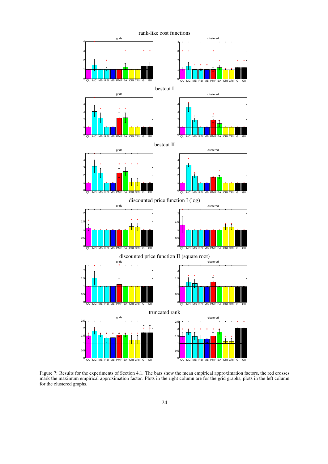

Figure 7: Results for the experiments of Section 4.1. The bars show the mean empirical approximation factors, the red crosses mark the maximum empirical approximation factor. Plots in the right column are for the grid graphs, plots in the left column for the clustered graphs.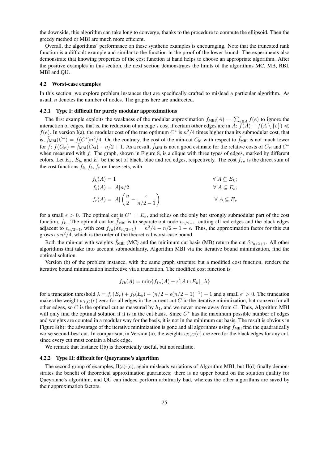the downside, this algorithm can take long to converge, thanks to the procedure to compute the ellipsoid. Then the greedy method or MBI are much more efficient.

Overall, the algorithms' performance on these synthetic examples is encouraging. Note that the truncated rank function is a difficult example and similar to the function in the proof of the lower bound. The experiments also demonstrate that knowing properties of the cost function at hand helps to choose an appropriate algorithm. After the positive examples in this section, the next section demonstrates the limits of the algorithms MC, MB, RBI, MBI and QU.

#### 4.2 Worst-case examples

In this section, we explore problem instances that are specifically crafted to mislead a particular algorithm. As usual, n denotes the number of nodes. The graphs here are undirected.

#### 4.2.1 Type I: difficult for purely modular approximations

The first example exploits the weakness of the modular approximation  $\hat{f}_{MBI}(A) = \sum_{e \in A} f(e)$  to ignore the interaction of edges, that is, the reduction of an edge's cost if certain other edges are in A:  $f(A) - f(A \setminus \{e\}) \ll$  $f(e)$ . In version I(a), the modular cost of the true optimum  $C^*$  is  $n^2/4$  times higher than its submodular cost, that is,  $\hat{f}_{MBI}(C^*) = f(C^*)n^2/4$ . On the contrary, the cost of the min-cut  $C_M$  with respect to  $\hat{f}_{MBI}$  is not much lower for  $f: f(C_M) = \hat{f}_{MBI}(C_M) - n/2 + 1$ . As a result,  $\hat{f}_{MBI}$  is not a good estimate for the relative costs of  $C_M$  and  $C^*$ when measured with  $f$ . The graph, shown in Figure 8, is a clique with three types of edges, marked by different colors. Let  $E_k$ ,  $E_b$ , and  $E_r$  be the set of black, blue and red edges, respectively. The cost  $f_{Ia}$  is the direct sum of the cost functions  $f_k$ ,  $f_b$ ,  $f_r$  on these sets, with

$$
f_k(A) = 1 \qquad \forall A \subseteq E_k;
$$
  
\n
$$
f_b(A) = |A|n/2 \qquad \forall A \subseteq E_b;
$$
  
\n
$$
f_r(A) = |A| \left(\frac{n}{2} - \frac{\epsilon}{n/2 - 1}\right) \qquad \forall A \subseteq E_r
$$

for a small  $\epsilon > 0$ . The optimal cut is  $C^* = E_k$ , and relies on the only but strongly submodular part of the cost function,  $f_k$ . The optimal cut for  $f_{MBI}$  is to separate out node  $v_{n/2+1}$ , cutting all red edges and the black edges adjacent to  $v_{n/2+1}$ , with cost  $f_{Ia}(\delta v_{n/2+1}) = n^2/4 - n/2 + 1 - \epsilon$ . Thus, the approximation factor for this cut grows as  $n^2/4$ , which is the order of the theoretical worst-case bound.

Both the min-cut with weights  $f_{MBI}$  (MC) and the minimum cut basis (MB) return the cut  $\delta v_{n/2+1}$ . All other algorithms that take into account submodularity, Algorithm MBI via the iterative bound minimization, find the optimal solution.

Version (b) of the problem instance, with the same graph structure but a modified cost function, renders the iterative bound minimization ineffective via a truncation. The modified cost function is

$$
f_{Ib}(A) = \min\{f_{Ia}(A) + \epsilon' | A \cap E_k | \lambda\}
$$

for a truncation threshold  $\lambda = f_r(E_r) + f_b(E_b) - (n/2 - \epsilon(n/2 - 1)^{-1}) + 1$  and a small  $\epsilon' > 0$ . The truncation makes the weight  $w_{1,C}(e)$  zero for all edges in the current cut C in the iterative minimization, but nonzero for all other edges, so C is the optimal cut as measured by  $h_1$ , and we never move away from C. Thus, Algorithm MBI will only find the optimal solution if it is in the cut basis. Since  $C^*$  has the maximum possible number of edges and weights are counted in a modular way for the basis, it is not in the minimum cut basis. The result is obvious in Figure 8(b): the advantage of the iterative minimization is gone and all algorithms using  $f_{MBI}$  find the quadratically worse second-best cut. In comparison, in Version (a), the weights  $w_{1,C}(e)$  are zero for the black edges for any cut, since every cut must contain a black edge.

We remark that Instance I(b) is theoretically useful, but not realistic.

#### 4.2.2 Type II: difficult for Queyranne's algorithm

The second group of examples,  $II(a)-(c)$ , again misleads variations of Algorithm MBI, but II(d) finally demonstrates the benefit of theoretical approximation guarantees: there is no upper bound on the solution quality for Queyranne's algorithm, and QU can indeed perform arbitrarily bad, whereas the other algorithms are saved by their approximation factors.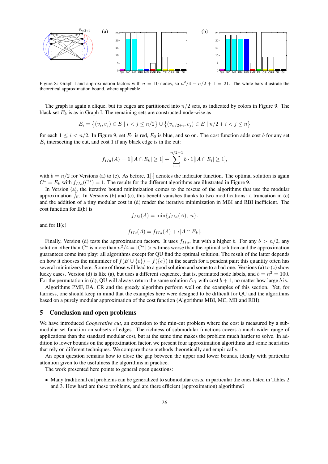

Figure 8: Graph I and approximation factors with  $n = 10$  nodes, so  $n^2/4 - n/2 + 1 = 21$ . The white bars illustrate the theoretical approximation bound, where applicable.

The graph is again a clique, but its edges are partitioned into  $n/2$  sets, as indicated by colors in Figure 9. The black set  $E_k$  is as in Graph I. The remaining sets are constructed node-wise as

$$
E_i = \{(v_i, v_j) \in E \mid i < j \le n/2\} \cup \{(v_{n/2+i}, v_j) \in E \mid n/2 + i < j \le n\}
$$

for each  $1 \le i < n/2$ . In Figure 9, set  $E_1$  is red,  $E_2$  is blue, and so on. The cost function adds cost b for any set  $E_i$  intersecting the cut, and cost 1 if any black edge is in the cut:

$$
f_{IIa}(A) = \mathbf{1}[|A \cap E_k| \ge 1] + \sum_{i=1}^{n/2-1} b \cdot \mathbf{1}[|A \cap E_i| \ge 1],
$$

with  $b = n/2$  for Versions (a) to (c). As before,  $1[\cdot]$  denotes the indicator function. The optimal solution is again  $C^* = E_k$  with  $f_{IIa}(C^*) = 1$ . The results for the different algorithms are illustrated in Figure 9.

In Version (a), the iterative bound minimization comes to the rescue of the algorithms that use the modular approximation  $\hat{f}_{II}$ . In Versions (b) and (c), this benefit vanishes thanks to two modifications: a truncation in (c) and the addition of a tiny modular cost in (d) render the iterative minimization in MBI and RBI inefficient. The cost function for II(b) is

$$
f_{IIb}(A) = \min\{f_{IIa}(A), n\}.
$$

and for II(c)

$$
f_{IIc}(A) = f_{IIa}(A) + \epsilon |A \cap E_k|.
$$

Finally, Version (d) tests the approximation factors. It uses  $f_{IIa}$ , but with a higher b. For any  $b > n/2$ , any solution other than  $C^*$  is more than  $n^2/4 = |C^*| > n$  times worse than the optimal solution and the approximation guarantees come into play: all algorithms except for QU find the optimal solution. The result of the latter depends on how it chooses the minimizer of  $f(B \cup \{e\}) - f(\{e\})$  in the search for a pendent pair; this quantity often has several minimizers here. Some of those will lead to a good solution and some to a bad one. Versions (a) to (c) show lucky cases. Version (d) is like (a), but uses a different sequence, that is, permuted node labels, and  $b = n^2 = 100$ . For the permutation in (d), QU will always return the same solution  $\delta v_1$  with cost  $b + 1$ , no matter how large b is.

Algorithms PMF, EA, CR and the greedy algorithm perform well on the examples of this section. Yet, for fairness, one should keep in mind that the examples here were designed to be difficult for QU and the algorithms based on a purely modular approximation of the cost function (Algorithms MBI, MC, MB and RBI).

### 5 Conclusion and open problems

We have introduced *Cooperative cut*, an extension to the min-cut problem where the cost is measured by a submodular set function on subsets of edges. The richness of submodular functions covers a much wider range of applications than the standard modular cost, but at the same time makes the problem much harder to solve. In addition to lower bounds on the approximation factor, we present four approximation algorithms and some heuristics that rely on different techniques. We compare those methods theoretically and empirically.

An open question remains how to close the gap between the upper and lower bounds, ideally with particular attention given to the usefulness the algorithms in practice.

The work presented here points to general open questions:

• Many traditional cut problems can be generalized to submodular costs, in particular the ones listed in Tables 2 and 3. How hard are these problems, and are there efficient (approximation) algorithms?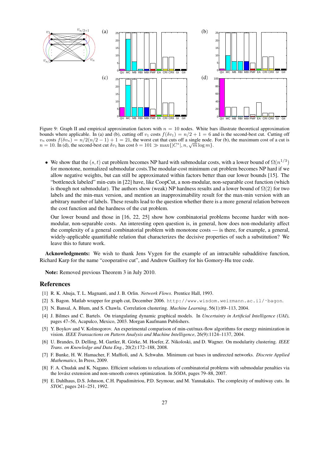

Figure 9: Graph II and empirical approximation factors with  $n = 10$  nodes. White bars illustrate theoretical approximation bounds where applicable. In (a) and (b), cutting off  $v_1$  costs  $f(\delta v_1) = n/2 + 1 = 6$  and is the second-best cut. Cutting off  $v_n$  costs  $f(\delta v_n) = n/2(n/2 - 1) + 1 = 21$ , the worst cut that cuts off a single node. For (b), the maximum cost of a cut is  $v_n$  costs  $f(v_n) = n/2(n/2 - 1) + 1 = 21$ , the worst cut that cuts of a single node.<br>  $n = 10$ . In (d), the second-best cut  $\delta v_1$  has cost  $b = 101 \gg \max\{|C^*|, n, \sqrt{m} \log m\}$ .

• We show that the  $(s, t)$  cut problem becomes NP hard with submodular costs, with a lower bound of  $\Omega(n^{1/3})$ for monotone, normalized submodular costs.The modular-cost minimum cut problem becomes NP hard if we allow negative weights, but can still be approximated within factors better than our lower bounds [15]. The "bottleneck labeled" min-cuts in [22] have, like CoopCut, a non-modular, non-separable cost function (which is though not submodular). The authors show (weak) NP hardness results and a lower bound of  $\Omega(2)$  for two labels and the min-max version, and mention an inapproximability result for the max-min version with an arbitrary number of labels. These results lead to the question whether there is a more general relation between the cost function and the hardness of the cut problem.

Our lower bound and those in [16, 22, 25] show how combinatorial problems become harder with nonmodular, non-separable costs. An interesting open question is, in general, how does non-modularity affect the complexity of a general combinatorial problem with monotone costs — is there, for example, a general, widely-applicable quantifiable relation that characterizes the decisive properties of such a substitution? We leave this to future work.

Acknowledgments: We wish to thank Jens Vygen for the example of an intractable subadditive function, Richard Karp for the name "cooperative cut", and Andrew Guillory for his Gomory-Hu tree code.

Note: Removed previous Theorem 3 in July 2010.

#### References

- [1] R. K. Ahuja, T. L. Magnanti, and J. B. Orlin. *Network Flows*. Prentice Hall, 1993.
- [2] S. Bagon. Matlab wrapper for graph cut, December 2006. http://www.wisdom.weizmann.ac.il/˜bagon.
- [3] N. Bansal, A. Blum, and S. Chawla. Correlation clustering. *Machine Learning*, 56(1):89–113, 2004.
- [4] J. Bilmes and C. Bartels. On triangulating dynamic graphical models. In *Uncertainty in Artificial Intelligence (UAI)*, pages 47–56, Acapulco, Mexico, 2003. Morgan Kaufmann Publishers.
- [5] Y. Boykov and V. Kolmogorov. An experimental comparison of min-cut/max-flow algorithms for energy minimization in vision. *IEEE Transactions on Pattern Analysis and Machine Intelligence*, 26(9):1124–1137, 2004.
- [6] U. Brandes, D. Delling, M. Gartler, R. Gorke, M. Hoefer, Z. Nikoloski, and D. Wagner. On modularity clustering. ¨ *IEEE Trans. on Knowledge and Data Eng.*, 20(2):172–188, 2008.
- [7] F. Bunke, H. W. Hamacher, F. Maffioli, and A. Schwahn. Minimum cut bases in undirected networks. *Discrete Applied Mathematics*, In Press, 2009.
- [8] F. A. Chudak and K. Nagano. Efficient solutions to relaxations of combinatorial problems with submodular penalties via the lovász extension and non-smooth convex optimization. In *SODA*, pages 79–88, 2007.
- [9] E. Dahlhaus, D.S. Johnson, C.H. Papadimitriou, P.D. Seymour, and M. Yannakakis. The complexity of multiway cuts. In *STOC*, pages 241–251, 1992.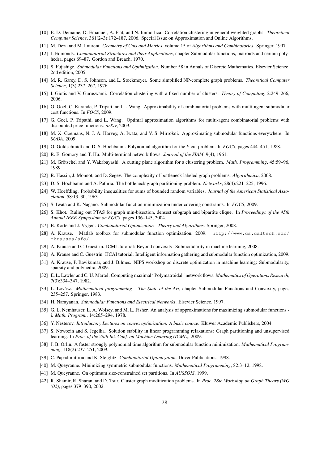- [10] E. D. Demaine, D. Emanuel, A. Fiat, and N. Immorlica. Correlation clustering in general weighted graphs. *Theoretical Computer Science*, 361(2–3):172–187, 2006. Special Issue on Approximation and Online Algorithms.
- [11] M. Deza and M. Laurent. *Geometry of Cuts and Metrics*, volume 15 of *Algorithms and Combinatorics*. Springer, 1997.
- [12] J. Edmonds. *Combinatorial Structures and their Applications*, chapter Submodular functions, matroids and certain polyhedra, pages 69–87. Gordon and Breach, 1970.
- [13] S. Fujishige. *Submodular Functions and Optimization*. Number 58 in Annals of Discrete Mathematics. Elsevier Science, 2nd edition, 2005.
- [14] M. R. Garey, D. S. Johnson, and L. Stockmeyer. Some simplified NP-complete graph problems. *Theoretical Computer Science*, 1(3):237–267, 1976.
- [15] I. Giotis and V. Guruswami. Correlation clustering with a fixed number of clusters. *Theory of Computing*, 2:249–266, 2006.
- [16] G. Goel, C. Karande, P. Tripati, and L. Wang. Approximability of combinatorial problems with multi-agent submodular cost functions. In *FOCS*, 2009.
- [17] G. Goel, P. Tripathi, and L. Wang. Optimal approximation algorithms for multi-agent combinatorial problems with discounted price functions. *arXiv*, 2009.
- [18] M. X. Goemans, N. J. A. Harvey, A. Iwata, and V. S. Mirrokni. Approximating submodular functions everywhere. In *SODA*, 2009.
- [19] O. Goldschmidt and D. S. Hochbaum. Polynomial algorithm for the k-cut problem. In *FOCS*, pages 444–451, 1988.
- [20] R. E. Gomory and T. Hu. Multi-terminal network flows. *Journal of the SIAM*, 9(4), 1961.
- [21] M. Grötschel and Y. Wakabayashi. A cutting plane algorithm for a clustering problem. *Math. Programming*, 45:59–96, 1989.
- [22] R. Hassin, J. Monnot, and D. Segev. The complexity of bottleneck labeled graph problems. *Algorithmica*, 2008.
- [23] D. S. Hochbaum and A. Pathria. The bottleneck graph partitioning problem. *Networks*, 28(4):221–225, 1996.
- [24] W. Hoeffding. Probability inequalities for sums of bounded random variables. *Journal of the American Statistical Association*, 58:13–30, 1963.
- [25] S. Iwata and K. Nagano. Submodular function minimization under covering constraints. In *FOCS*, 2009.
- [26] S. Khot. Ruling out PTAS for graph min-bisection, densest subgraph and bipartite clique. In *Proceedings of the 45th Annual IEEE Symposium on FOCS*, pages 136–145, 2004.
- [27] B. Korte and J. Vygen. *Combinatorial Optimization Theory and Algorithms*. Springer, 2008.
- [28] A. Krause. Matlab toolbox for submodular function optimization, 2009. http://www.cs.caltech.edu/ ˜krausea/sfo/.
- [29] A. Krause and C. Guestrin. ICML tutorial: Beyond convexity: Submodularity in machine learning, 2008.
- [30] A. Krause and C. Guestrin. IJCAI tutorial: Intelligent information gathering and submodular function optimization, 2009.
- [31] A. Krause, P. Ravikumar, and J. Bilmes. NIPS workshop on discrete optimization in machine learning: Submodularity, sparsity and polyhedra, 2009.
- [32] E. L. Lawler and C. U. Martel. Computing maximal "Polymatroidal" network flows. *Mathematics of Operations Research*, 7(3):334–347, 1982.
- [33] L. Lovász. *Mathematical programming The State of the Art*, chapter Submodular Functions and Convexity, pages 235–257. Springer, 1983.
- [34] H. Narayanan. *Submodular Functions and Electrical Networks*. Elsevier Science, 1997.
- [35] G. L. Nemhauser, L. A. Wolsey, and M. L. Fisher. An analysis of approximations for maximizing submodular functions i. *Math. Program.*, 14:265–294, 1978.
- [36] Y. Nesterov. *Introductory Lectures on convex optimization: A basic course*. Kluwer Academic Publishers, 2004.
- [37] S. Nowozin and S. Jegelka. Solution stability in linear programming relaxations: Graph partitioning and unsupervised learning. In *Proc. of the 26th Int. Conf. on Machine Leanring (ICML)*, 2009.
- [38] J. B. Orlin. A faster strongly polynomial time algorithm for submodular function minimization. *Mathematical Programming*, 118(2):237–251, 2009.
- [39] C. Papadimitriou and K. Steiglitz. *Combinatorial Optimization*. Dover Publications, 1998.
- [40] M. Queyranne. Minimizing symmetric submodular functions. *Mathematical Programming*, 82:3–12, 1998.
- [41] M. Queyranne. On optimum size-constrained set partitions. In *AUSSOIS*, 1999.
- [42] R. Shamir, R. Sharan, and D. Tsur. Cluster graph modification problems. In *Proc. 28th Workshop on Graph Theory (WG '02)*, pages 379–390, 2002.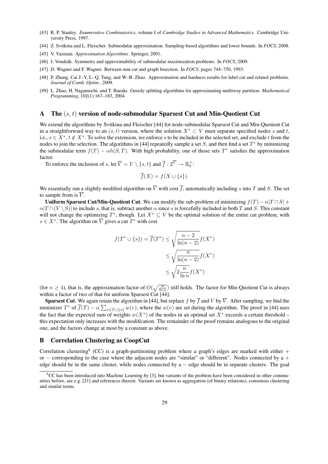- [43] R. P. Stanley. *Enumerative Combinatorics*, volume I of *Cambridge Studies in Advanced Mathematics*. Cambridge University Press, 1997.
- [44] Z. Svitkina and L. Fleischer. Submodular approximation: Sampling-based algorithms and lower bounds. In *FOCS*, 2008.
- [45] V. Vazirani. *Approximation Algorithms*. Springer, 2001.
- [46] J. Vondrák. Symmetry and approximability of submodular maximization problems. In *FOCS*, 2009.
- [47] D. Wagner and F. Wagner. Between min cut and graph bisection. In *FOCS*, pages 744–750, 1993.
- [48] P. Zhang, Cai J.-Y, L.-Q. Tang, and W.-B. Zhao. Approximation and hardness results for label cut and related problems. *Journal of Comb. Optim.*, 2009.
- [49] L. Zhao, H. Nagamochi, and T. Ibaraki. Greedy splitting algorithms for approximating multiway partition. *Mathematical Programming*, 102(1):167–183, 2004.

### A The (s, t) version of node-submodular Sparsest Cut and Min-Quotient Cut

We extend the algorithms by Svitkina and Fleischer [44] for node-submodular Sparsest Cut and Min-Quotient Cut in a straightforward way to an  $(s, t)$  version, where the solution  $X^* \subset V$  must separate specified nodes s and t, i.e.,  $s \in X^*$ ,  $t \notin X^*$ . To solve the extension, we enforce s to be included in the selected set, and exclude t from the nodes to join the selection. The algorithms in [44] repeatedly sample a set  $S$ , and then find a set  $T^*$  by minimizing the submodular term  $f(T) - \alpha h(S,T)$ . With high probability, one of those sets  $T^*$  satisfies the approximation factor.

To enforce the inclusion of s, let  $\overline{V} = V \setminus \{s, t\}$  and  $\overline{f} : 2^{\overline{V}} \to \mathbb{R}_0^+$ :

$$
\overline{f}(X) = f(X \cup \{s\}).
$$

We essentially run a slightly modified algorithm on  $\overline{V}$  with cost  $\overline{f}$ , automatically including s into T and S. The set to sample from is  $\overline{V}$ .

Uniform Sparsest Cut/Min-Quotient Cut. We can modify the sub-problem of minimizing  $f(T) - \alpha |T \cap S| +$  $\alpha|T \cap (V \setminus S)|$  to include s, that is, subtract another  $\alpha$  since s is forcefully included in both T and S. This constant will not change the optimizing  $T^*$ , though. Let  $X^* \subseteq V$  be the optimal solution of the entire cut problem, with  $s \in X^*$ . The algorithm on  $\overline{V}$  gives a cut  $T^*$  with cost

$$
f(T^* \cup \{s\}) = \overline{f}(T^*) \le \sqrt{\frac{n-2}{\ln(n-2)}} f(X^*)
$$

$$
\le \sqrt{\frac{n}{\ln(n-2)}} f(X^*)
$$

$$
\le \sqrt{2\frac{n}{\ln n}} f(X^*)
$$

(for  $n \ge 4$ ), that is, the approximation factor of  $O(\sqrt{\frac{n}{\ln n}})$  still holds. The factor for Min-Quotient Cut is always within a factor of two of that for uniform Sparsest Cut [44].

**Sparsest Cut**. We again retain the algorithm in [44], but replace f by  $\overline{f}$  and V by  $\overline{V}$ . After sampling, we find the minimizer  $T^*$  of  $\overline{f}(T) - \alpha \sum_{v \in T \cup \{s\}} w(v)$ , where the  $w(v)$  are set during the algorithm. The proof in [44] uses the fact that the expected sum of weights  $w(X^*)$  of the nodes in an optimal set  $X^*$  exceeds a certain threshold – this expectation only increases with the modification. The remainder of the proof remains analogous to the original one, and the factors change at most by a constant as above.

## B Correlation Clustering as CoopCut

Correlation clustering<sup>8</sup> (CC) is a graph-partitioning problem where a graph's edges are marked with either  $+$ or − corresponding to the case where the adjacent nodes are "similar" or "different". Nodes connected by a + edge should be in the same cluster, while nodes connected by a − edge should be in separate clusters. The goal

 ${}^8$ CC has been introduced into Machine Learning by [3], but variants of the problem have been considered in other communities before, see e.g. [21] and references therein. Variants are known as aggregation (of binary relations), consensus clustering and similar terms.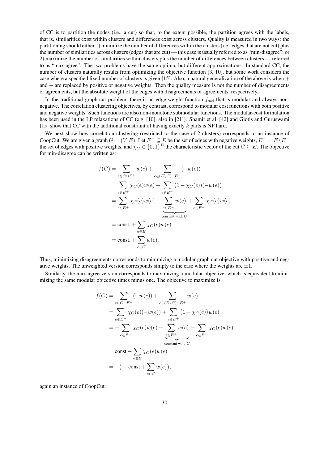of CC is to partition the nodes (i.e., a cut) so that, to the extent possible, the partition agrees with the labels, that is, similarities exist within clusters and differences exist across clusters. Quality is measured in two ways: the partitioning should either 1) minimize the number of differences within the clusters (i.e., edges that are not cut) plus the number of similarities across clusters (edges that are cut) — this case is usually referred to as "min-disagree"; or 2) maximize the number of similarities within clusters plus the number of differences between clusters — referred to as "max-agree". The two problems have the same optima, but different approximations. In standard CC, the number of clusters naturally results from optimizing the objective function [3, 10], but some work considers the case where a specified fixed number of clusters is given [15]. Also, a natural generalization of the above is when  $+$ and – are replaced by positive or negative weights. Then the quality measure is not the number of disagreements or agreements, but the absolute weight of the edges with disagreements or agreements, respectively.

In the traditional graph-cut problem, there is an edge-weight function  $f_{\text{trad}}$  that is modular and always nonnegative. The correlation clustering objectives, by contrast, correspond to modular cost functions with both positive and negative weights. Such functions are also non-monotone submodular functions. The modular-cost formulation has been used in the LP relaxations of CC (e.g. [10], also in [21]). Shamir et al. [42] and Giotis and Guruswami [15] show that CC with the additional constraint of having exactly  $k$  parts is NP hard.

We next show how correlation clustering (restricted to the case of 2 clusters) corresponds to an instance of CoopCut. We are given a graph  $G = (V, E)$ . Let  $E^- \subseteq E$  be the set of edges with negative weights,  $E^+ = E \setminus E^$ the set of edges with positive weights, and  $\chi_C \in \{0,1\}^E$  the characteristic vector of the cut  $C \subseteq E$ . The objective for min-disagree can be written as:

$$
f(C) = \sum_{e \in C \cap E^{+}} w(e) + \sum_{e \in (E \setminus C) \cap E^{-}} (-w(e))
$$
  
= 
$$
\sum_{e \in E^{+}} \chi_{C}(e)w(e) + \sum_{e \in E^{-}} (1 - \chi_{C}(e))(-w(e))
$$
  
= 
$$
\sum_{e \in E^{+}} \chi_{C}(e)w(e) - \sum_{e \in E^{-}} w(e) + \sum_{e \in E^{-}} \chi_{C}(e)w(e)
$$
  
= const. + 
$$
\sum_{e \in E} \chi_{C}(e)w(e)
$$
  
= const. + 
$$
\sum_{e \in C} w(e).
$$

Thus, minimizing disagreements corresponds to minimizing a modular graph cut objective with positive and negative weights. The unweighted version corresponds simply to the case where the weights are  $\pm 1$ .

Similarly, the max-agree version corresponds to maximizing a modular objective, which is equivalent to minimizing the same modular objective times minus one. The objective to maximize is

$$
f(C) = \sum_{e \in C \cap E^-} (-w(e)) + \sum_{e \in (E \setminus C) \cap E^+} w(e)
$$
  
= 
$$
\sum_{e \in E^-} \chi_C(e)(-w(e)) + \sum_{e \in E^+} (1 - \chi_C(e))w(e)
$$
  
= 
$$
-\sum_{e \in E^-} \chi_C(e)w(e) + \sum_{e \in E^+} w(e) - \sum_{e \in E^+} \chi_C(e)w(e)
$$
  
= 
$$
\text{const} - \sum_{e \in E} \chi_C(e)w(e)
$$
  
= 
$$
-(-\text{const} + \sum_{e \in C} w(e)),
$$

again an instance of CoopCut.